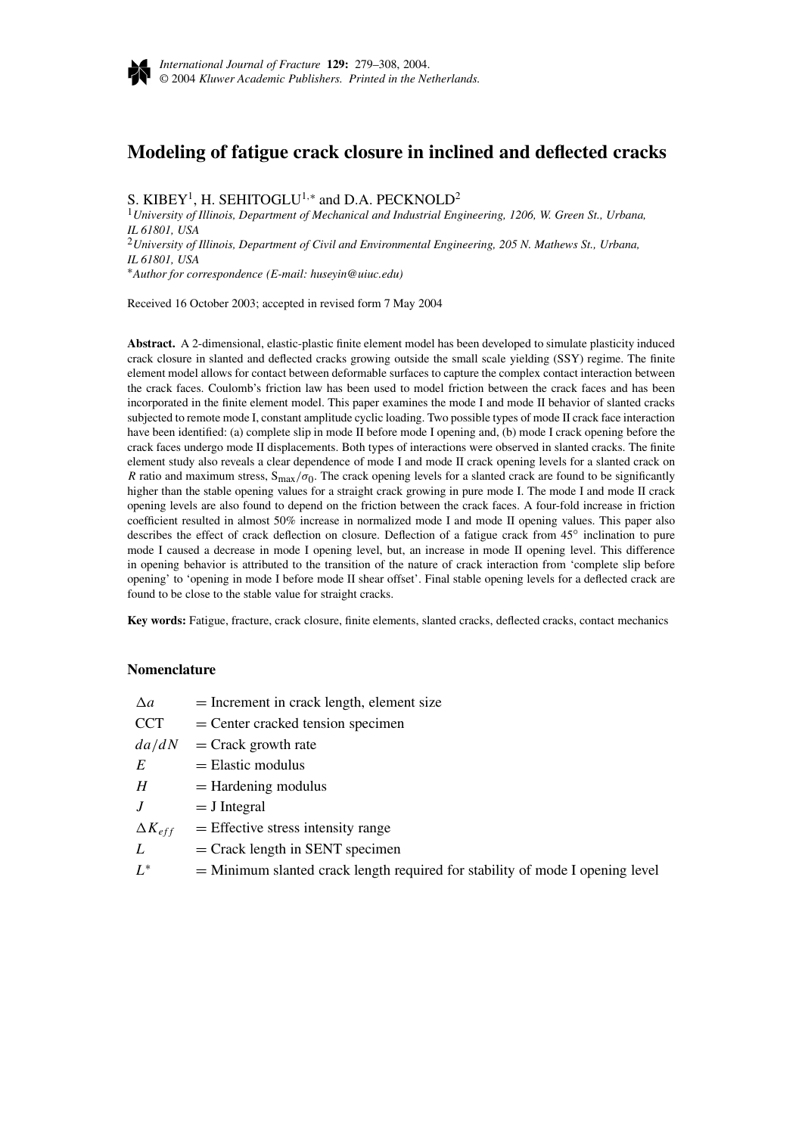

# **Modeling of fatigue crack closure in inclined and deflected cracks**

S. KIBEY<sup>1</sup>, H. SEHITOGLU<sup>1,∗</sup> and D.A. PECKNOLD<sup>2</sup>

<sup>1</sup>*University of Illinois, Department of Mechanical and Industrial Engineering, 1206, W. Green St., Urbana, IL 61801, USA* <sup>2</sup>*University of Illinois, Department of Civil and Environmental Engineering, 205 N. Mathews St., Urbana, IL 61801, USA*

∗*Author for correspondence (E-mail: huseyin@uiuc.edu)*

Received 16 October 2003; accepted in revised form 7 May 2004

**Abstract.** A 2-dimensional, elastic-plastic finite element model has been developed to simulate plasticity induced crack closure in slanted and deflected cracks growing outside the small scale yielding (SSY) regime. The finite element model allows for contact between deformable surfaces to capture the complex contact interaction between the crack faces. Coulomb's friction law has been used to model friction between the crack faces and has been incorporated in the finite element model. This paper examines the mode I and mode II behavior of slanted cracks subjected to remote mode I, constant amplitude cyclic loading. Two possible types of mode II crack face interaction have been identified: (a) complete slip in mode II before mode I opening and, (b) mode I crack opening before the crack faces undergo mode II displacements. Both types of interactions were observed in slanted cracks. The finite element study also reveals a clear dependence of mode I and mode II crack opening levels for a slanted crack on *R* ratio and maximum stress,  $S_{max}/\sigma_0$ . The crack opening levels for a slanted crack are found to be significantly higher than the stable opening values for a straight crack growing in pure mode I. The mode I and mode II crack opening levels are also found to depend on the friction between the crack faces. A four-fold increase in friction coefficient resulted in almost 50% increase in normalized mode I and mode II opening values. This paper also describes the effect of crack deflection on closure. Deflection of a fatigue crack from 45◦ inclination to pure mode I caused a decrease in mode I opening level, but, an increase in mode II opening level. This difference in opening behavior is attributed to the transition of the nature of crack interaction from 'complete slip before opening' to 'opening in mode I before mode II shear offset'. Final stable opening levels for a deflected crack are found to be close to the stable value for straight cracks.

**Key words:** Fatigue, fracture, crack closure, finite elements, slanted cracks, deflected cracks, contact mechanics

#### **Nomenclature**

| $\Delta a$ | $=$ Increment in crack length, element size |
|------------|---------------------------------------------|
| <b>CCT</b> | $=$ Center cracked tension specimen         |
| da/dN      | $=$ Crack growth rate                       |
| E          | $=$ Elastic modulus                         |
| H          | $=$ Hardening modulus                       |
|            |                                             |

 $J = J$  Integral

 $\Delta K_{eff}$  = Effective stress intensity range

- $L =$  Crack length in SENT specimen
- $L^*$  = Minimum slanted crack length required for stability of mode I opening level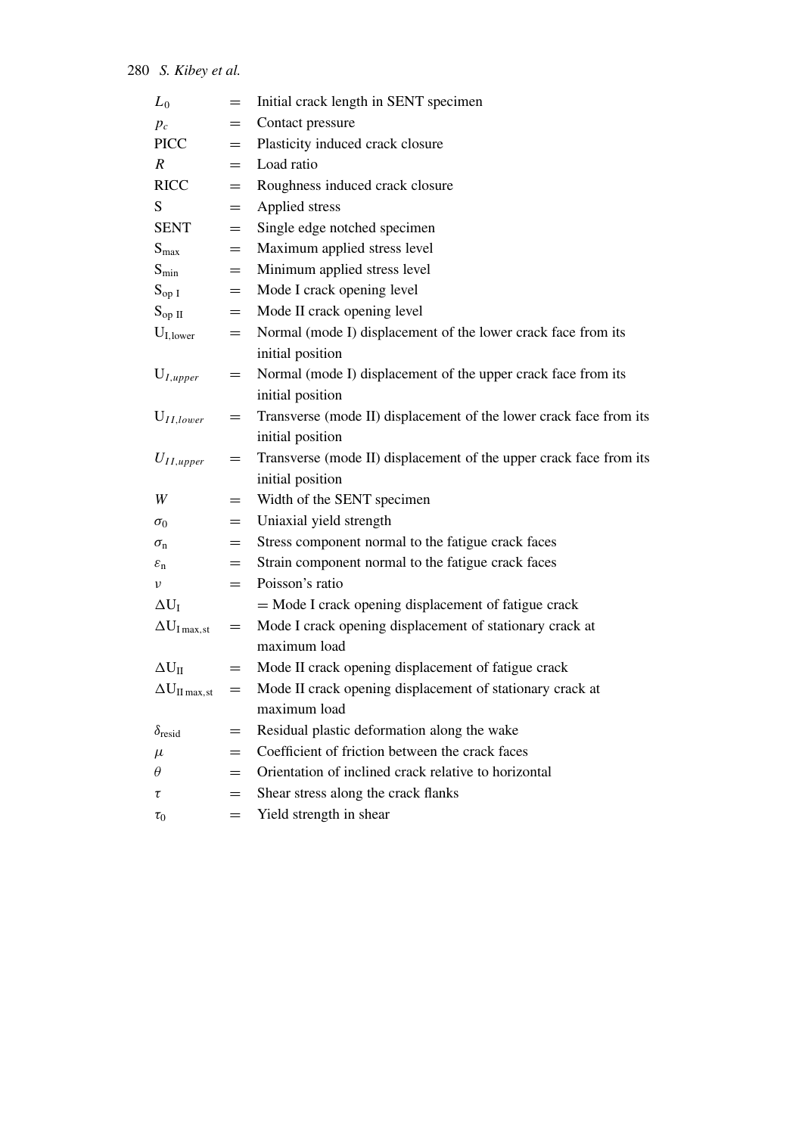| $=$ | Initial crack length in SENT specimen                              |
|-----|--------------------------------------------------------------------|
| $=$ | Contact pressure                                                   |
| $=$ | Plasticity induced crack closure                                   |
| $=$ | Load ratio                                                         |
| $=$ | Roughness induced crack closure                                    |
| $=$ | Applied stress                                                     |
| $=$ | Single edge notched specimen                                       |
| $=$ | Maximum applied stress level                                       |
| $=$ | Minimum applied stress level                                       |
| $=$ | Mode I crack opening level                                         |
| $=$ | Mode II crack opening level                                        |
| $=$ | Normal (mode I) displacement of the lower crack face from its      |
|     | initial position                                                   |
| $=$ | Normal (mode I) displacement of the upper crack face from its      |
|     | initial position                                                   |
| $=$ | Transverse (mode II) displacement of the lower crack face from its |
|     | initial position                                                   |
| $=$ | Transverse (mode II) displacement of the upper crack face from its |
|     | initial position                                                   |
| $=$ | Width of the SENT specimen                                         |
| $=$ | Uniaxial yield strength                                            |
| $=$ | Stress component normal to the fatigue crack faces                 |
| $=$ | Strain component normal to the fatigue crack faces                 |
| $=$ | Poisson's ratio                                                    |
|     | = Mode I crack opening displacement of fatigue crack               |
| $=$ | Mode I crack opening displacement of stationary crack at           |
|     | maximum load                                                       |
| $=$ | Mode II crack opening displacement of fatigue crack                |
| $=$ | Mode II crack opening displacement of stationary crack at          |
|     | maximum load                                                       |
|     | Residual plastic deformation along the wake                        |
|     | Coefficient of friction between the crack faces                    |
| $=$ | Orientation of inclined crack relative to horizontal               |
| $=$ | Shear stress along the crack flanks                                |
| $=$ | Yield strength in shear                                            |
|     |                                                                    |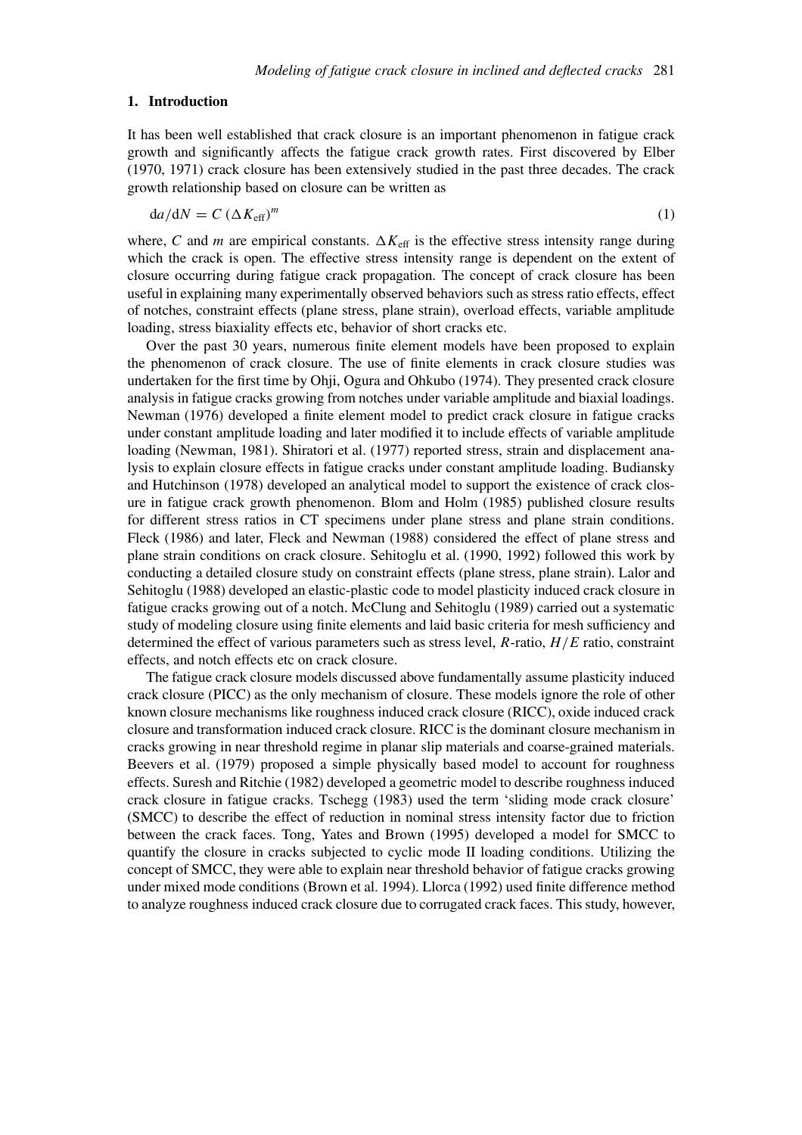#### **1. Introduction**

It has been well established that crack closure is an important phenomenon in fatigue crack growth and significantly affects the fatigue crack growth rates. First discovered by Elber (1970, 1971) crack closure has been extensively studied in the past three decades. The crack growth relationship based on closure can be written as

$$
da/dN = C \left(\Delta K_{\text{eff}}\right)^m \tag{1}
$$

where, C and *m* are empirical constants.  $\Delta K_{\text{eff}}$  is the effective stress intensity range during which the crack is open. The effective stress intensity range is dependent on the extent of closure occurring during fatigue crack propagation. The concept of crack closure has been useful in explaining many experimentally observed behaviors such as stress ratio effects, effect of notches, constraint effects (plane stress, plane strain), overload effects, variable amplitude loading, stress biaxiality effects etc, behavior of short cracks etc.

Over the past 30 years, numerous finite element models have been proposed to explain the phenomenon of crack closure. The use of finite elements in crack closure studies was undertaken for the first time by Ohji, Ogura and Ohkubo (1974). They presented crack closure analysis in fatigue cracks growing from notches under variable amplitude and biaxial loadings. Newman (1976) developed a finite element model to predict crack closure in fatigue cracks under constant amplitude loading and later modified it to include effects of variable amplitude loading (Newman, 1981). Shiratori et al. (1977) reported stress, strain and displacement analysis to explain closure effects in fatigue cracks under constant amplitude loading. Budiansky and Hutchinson (1978) developed an analytical model to support the existence of crack closure in fatigue crack growth phenomenon. Blom and Holm (1985) published closure results for different stress ratios in CT specimens under plane stress and plane strain conditions. Fleck (1986) and later, Fleck and Newman (1988) considered the effect of plane stress and plane strain conditions on crack closure. Sehitoglu et al. (1990, 1992) followed this work by conducting a detailed closure study on constraint effects (plane stress, plane strain). Lalor and Sehitoglu (1988) developed an elastic-plastic code to model plasticity induced crack closure in fatigue cracks growing out of a notch. McClung and Sehitoglu (1989) carried out a systematic study of modeling closure using finite elements and laid basic criteria for mesh sufficiency and determined the effect of various parameters such as stress level, *R*-ratio, *H/E* ratio, constraint effects, and notch effects etc on crack closure.

The fatigue crack closure models discussed above fundamentally assume plasticity induced crack closure (PICC) as the only mechanism of closure. These models ignore the role of other known closure mechanisms like roughness induced crack closure (RICC), oxide induced crack closure and transformation induced crack closure. RICC is the dominant closure mechanism in cracks growing in near threshold regime in planar slip materials and coarse-grained materials. Beevers et al. (1979) proposed a simple physically based model to account for roughness effects. Suresh and Ritchie (1982) developed a geometric model to describe roughness induced crack closure in fatigue cracks. Tschegg (1983) used the term 'sliding mode crack closure' (SMCC) to describe the effect of reduction in nominal stress intensity factor due to friction between the crack faces. Tong, Yates and Brown (1995) developed a model for SMCC to quantify the closure in cracks subjected to cyclic mode II loading conditions. Utilizing the concept of SMCC, they were able to explain near threshold behavior of fatigue cracks growing under mixed mode conditions (Brown et al. 1994). Llorca (1992) used finite difference method to analyze roughness induced crack closure due to corrugated crack faces. This study, however,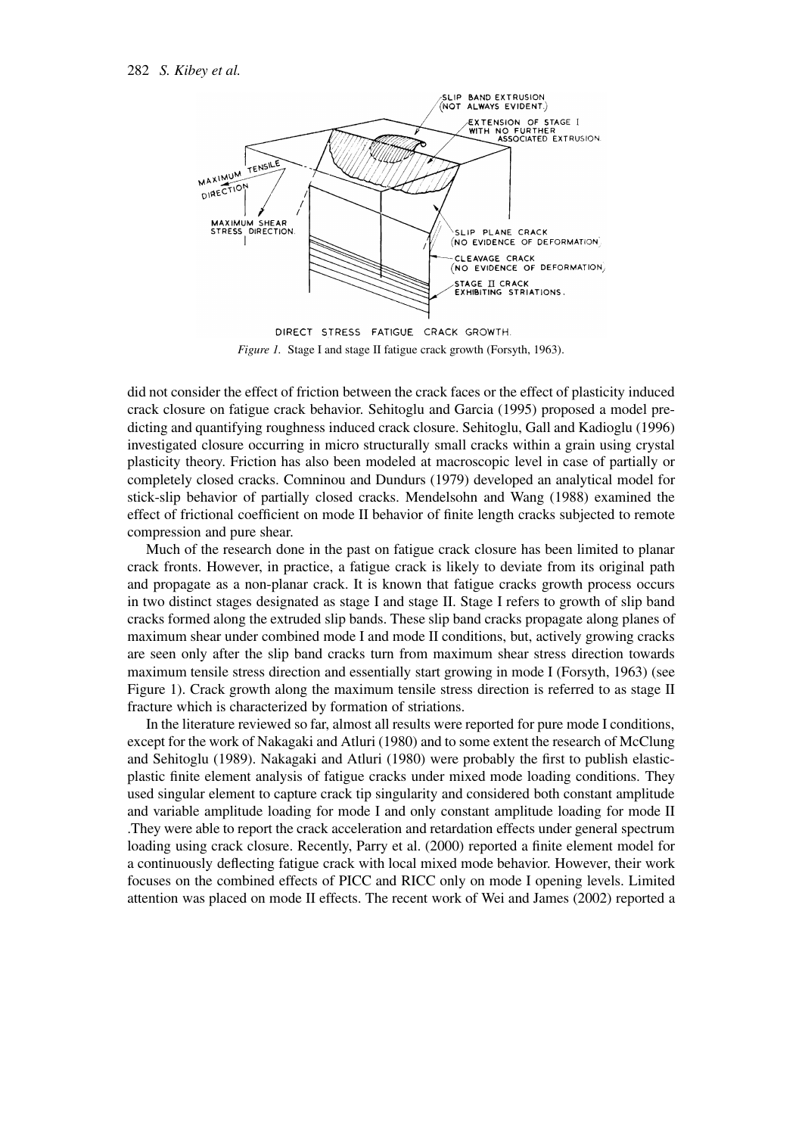

DIRECT STRESS FATIGUE CRACK GROWTH. *Figure 1.* Stage I and stage II fatigue crack growth (Forsyth, 1963).

did not consider the effect of friction between the crack faces or the effect of plasticity induced crack closure on fatigue crack behavior. Sehitoglu and Garcia (1995) proposed a model predicting and quantifying roughness induced crack closure. Sehitoglu, Gall and Kadioglu (1996) investigated closure occurring in micro structurally small cracks within a grain using crystal plasticity theory. Friction has also been modeled at macroscopic level in case of partially or completely closed cracks. Comninou and Dundurs (1979) developed an analytical model for stick-slip behavior of partially closed cracks. Mendelsohn and Wang (1988) examined the effect of frictional coefficient on mode II behavior of finite length cracks subjected to remote compression and pure shear.

Much of the research done in the past on fatigue crack closure has been limited to planar crack fronts. However, in practice, a fatigue crack is likely to deviate from its original path and propagate as a non-planar crack. It is known that fatigue cracks growth process occurs in two distinct stages designated as stage I and stage II. Stage I refers to growth of slip band cracks formed along the extruded slip bands. These slip band cracks propagate along planes of maximum shear under combined mode I and mode II conditions, but, actively growing cracks are seen only after the slip band cracks turn from maximum shear stress direction towards maximum tensile stress direction and essentially start growing in mode I (Forsyth, 1963) (see Figure 1). Crack growth along the maximum tensile stress direction is referred to as stage II fracture which is characterized by formation of striations.

In the literature reviewed so far, almost all results were reported for pure mode I conditions, except for the work of Nakagaki and Atluri (1980) and to some extent the research of McClung and Sehitoglu (1989). Nakagaki and Atluri (1980) were probably the first to publish elasticplastic finite element analysis of fatigue cracks under mixed mode loading conditions. They used singular element to capture crack tip singularity and considered both constant amplitude and variable amplitude loading for mode I and only constant amplitude loading for mode II .They were able to report the crack acceleration and retardation effects under general spectrum loading using crack closure. Recently, Parry et al. (2000) reported a finite element model for a continuously deflecting fatigue crack with local mixed mode behavior. However, their work focuses on the combined effects of PICC and RICC only on mode I opening levels. Limited attention was placed on mode II effects. The recent work of Wei and James (2002) reported a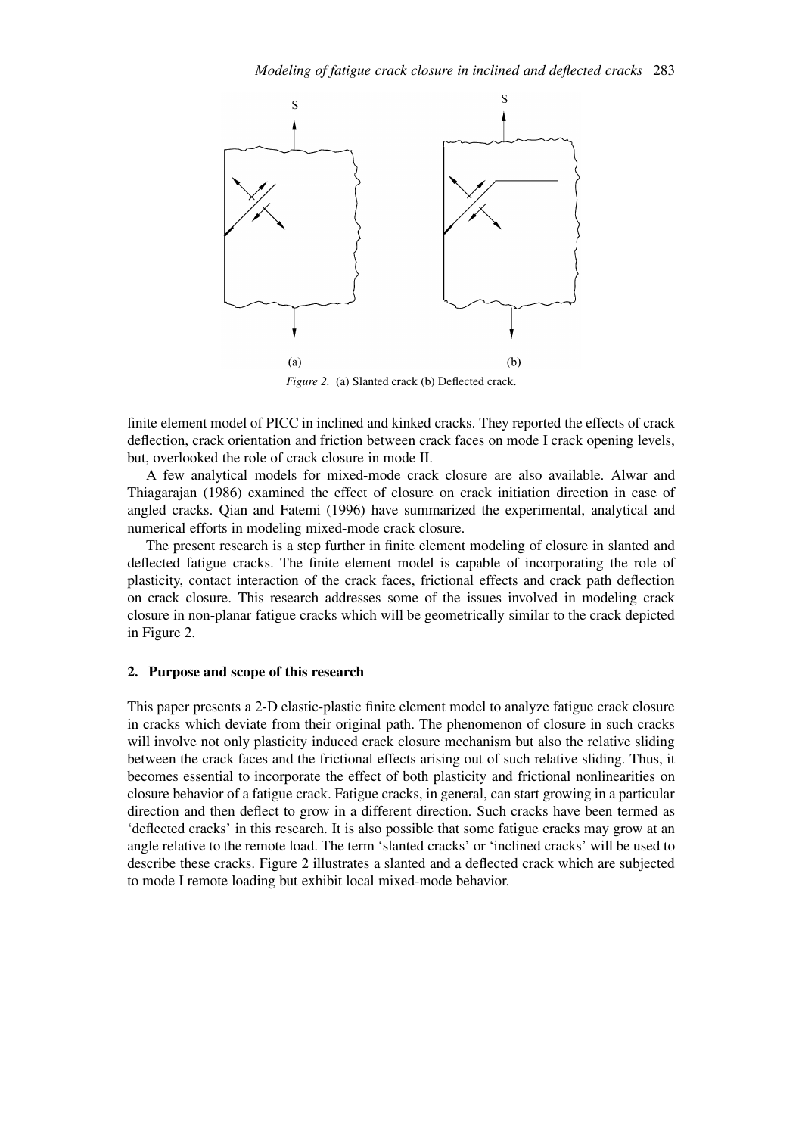

*Figure 2.* (a) Slanted crack (b) Deflected crack.

finite element model of PICC in inclined and kinked cracks. They reported the effects of crack deflection, crack orientation and friction between crack faces on mode I crack opening levels, but, overlooked the role of crack closure in mode II.

A few analytical models for mixed-mode crack closure are also available. Alwar and Thiagarajan (1986) examined the effect of closure on crack initiation direction in case of angled cracks. Qian and Fatemi (1996) have summarized the experimental, analytical and numerical efforts in modeling mixed-mode crack closure.

The present research is a step further in finite element modeling of closure in slanted and deflected fatigue cracks. The finite element model is capable of incorporating the role of plasticity, contact interaction of the crack faces, frictional effects and crack path deflection on crack closure. This research addresses some of the issues involved in modeling crack closure in non-planar fatigue cracks which will be geometrically similar to the crack depicted in Figure 2.

### **2. Purpose and scope of this research**

This paper presents a 2-D elastic-plastic finite element model to analyze fatigue crack closure in cracks which deviate from their original path. The phenomenon of closure in such cracks will involve not only plasticity induced crack closure mechanism but also the relative sliding between the crack faces and the frictional effects arising out of such relative sliding. Thus, it becomes essential to incorporate the effect of both plasticity and frictional nonlinearities on closure behavior of a fatigue crack. Fatigue cracks, in general, can start growing in a particular direction and then deflect to grow in a different direction. Such cracks have been termed as 'deflected cracks' in this research. It is also possible that some fatigue cracks may grow at an angle relative to the remote load. The term 'slanted cracks' or 'inclined cracks' will be used to describe these cracks. Figure 2 illustrates a slanted and a deflected crack which are subjected to mode I remote loading but exhibit local mixed-mode behavior.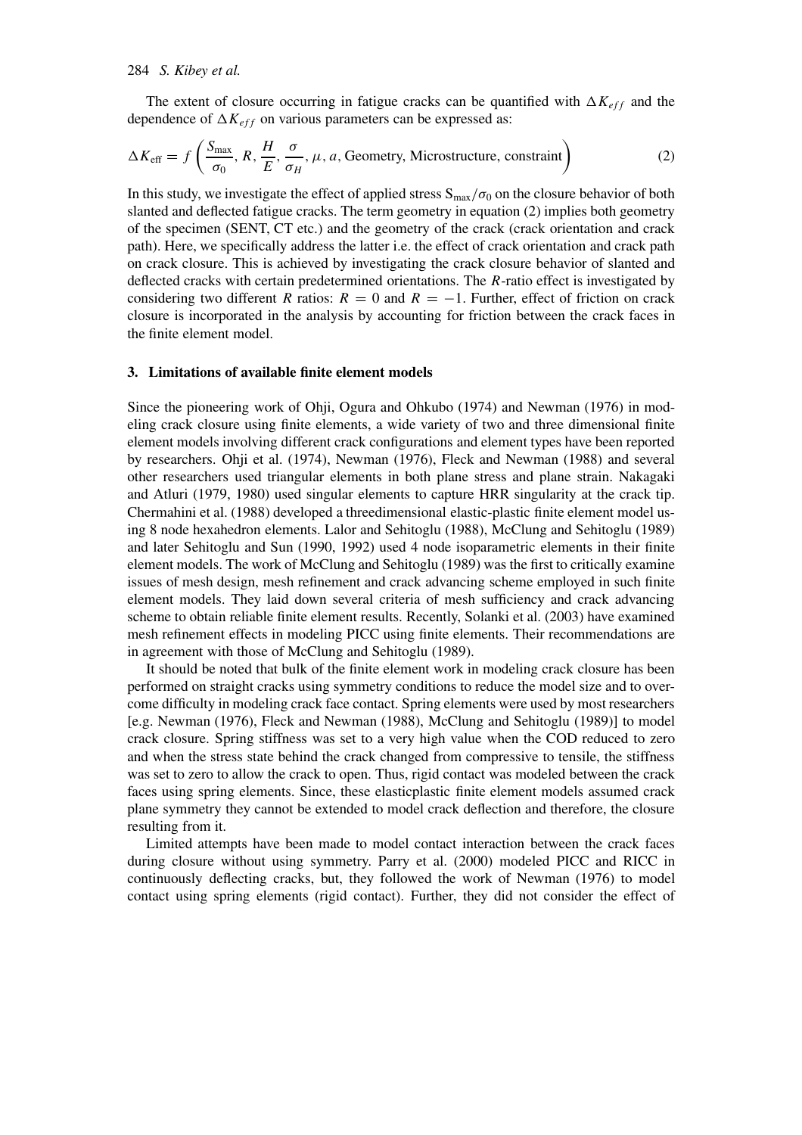#### 284 *S. Kibey et al.*

The extent of closure occurring in fatigue cracks can be quantified with  $\Delta K_{eff}$  and the dependence of  $\Delta K_{eff}$  on various parameters can be expressed as:

$$
\Delta K_{\text{eff}} = f\left(\frac{S_{\text{max}}}{\sigma_0}, R, \frac{H}{E}, \frac{\sigma}{\sigma_H}, \mu, a, \text{Geometry, Microsoftucture, constraint}\right)
$$
 (2)

In this study, we investigate the effect of applied stress  $S_{max}/\sigma_0$  on the closure behavior of both slanted and deflected fatigue cracks. The term geometry in equation (2) implies both geometry of the specimen (SENT, CT etc.) and the geometry of the crack (crack orientation and crack path). Here, we specifically address the latter i.e. the effect of crack orientation and crack path on crack closure. This is achieved by investigating the crack closure behavior of slanted and deflected cracks with certain predetermined orientations. The *R*-ratio effect is investigated by considering two different *R* ratios:  $R = 0$  and  $R = -1$ . Further, effect of friction on crack closure is incorporated in the analysis by accounting for friction between the crack faces in the finite element model.

#### **3. Limitations of available finite element models**

Since the pioneering work of Ohji, Ogura and Ohkubo (1974) and Newman (1976) in modeling crack closure using finite elements, a wide variety of two and three dimensional finite element models involving different crack configurations and element types have been reported by researchers. Ohji et al. (1974), Newman (1976), Fleck and Newman (1988) and several other researchers used triangular elements in both plane stress and plane strain. Nakagaki and Atluri (1979, 1980) used singular elements to capture HRR singularity at the crack tip. Chermahini et al. (1988) developed a threedimensional elastic-plastic finite element model using 8 node hexahedron elements. Lalor and Sehitoglu (1988), McClung and Sehitoglu (1989) and later Sehitoglu and Sun (1990, 1992) used 4 node isoparametric elements in their finite element models. The work of McClung and Sehitoglu (1989) was the first to critically examine issues of mesh design, mesh refinement and crack advancing scheme employed in such finite element models. They laid down several criteria of mesh sufficiency and crack advancing scheme to obtain reliable finite element results. Recently, Solanki et al. (2003) have examined mesh refinement effects in modeling PICC using finite elements. Their recommendations are in agreement with those of McClung and Sehitoglu (1989).

It should be noted that bulk of the finite element work in modeling crack closure has been performed on straight cracks using symmetry conditions to reduce the model size and to overcome difficulty in modeling crack face contact. Spring elements were used by most researchers [e.g. Newman (1976), Fleck and Newman (1988), McClung and Sehitoglu (1989)] to model crack closure. Spring stiffness was set to a very high value when the COD reduced to zero and when the stress state behind the crack changed from compressive to tensile, the stiffness was set to zero to allow the crack to open. Thus, rigid contact was modeled between the crack faces using spring elements. Since, these elasticplastic finite element models assumed crack plane symmetry they cannot be extended to model crack deflection and therefore, the closure resulting from it.

Limited attempts have been made to model contact interaction between the crack faces during closure without using symmetry. Parry et al. (2000) modeled PICC and RICC in continuously deflecting cracks, but, they followed the work of Newman (1976) to model contact using spring elements (rigid contact). Further, they did not consider the effect of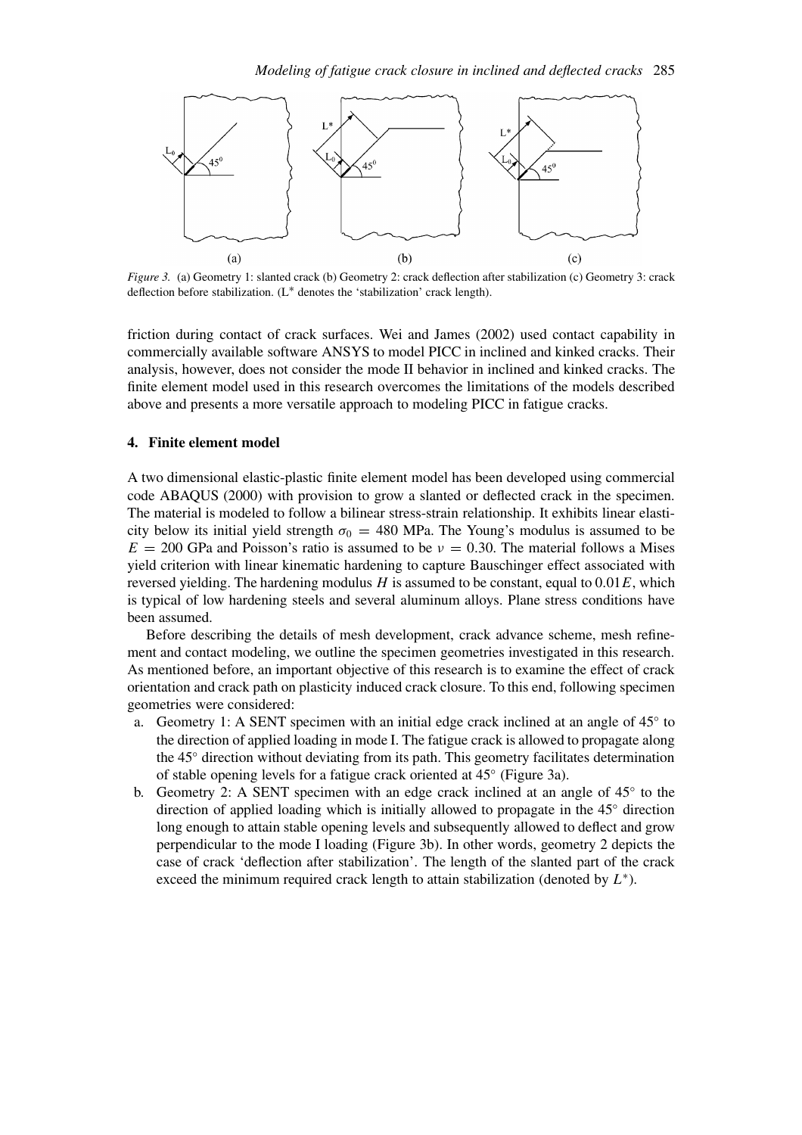

*Figure 3.* (a) Geometry 1: slanted crack (b) Geometry 2: crack deflection after stabilization (c) Geometry 3: crack deflection before stabilization. *(*L∗ denotes the 'stabilization' crack length).

friction during contact of crack surfaces. Wei and James (2002) used contact capability in commercially available software ANSYS to model PICC in inclined and kinked cracks. Their analysis, however, does not consider the mode II behavior in inclined and kinked cracks. The finite element model used in this research overcomes the limitations of the models described above and presents a more versatile approach to modeling PICC in fatigue cracks.

### **4. Finite element model**

A two dimensional elastic-plastic finite element model has been developed using commercial code ABAQUS (2000) with provision to grow a slanted or deflected crack in the specimen. The material is modeled to follow a bilinear stress-strain relationship. It exhibits linear elasticity below its initial yield strength  $\sigma_0 = 480$  MPa. The Young's modulus is assumed to be  $E = 200$  GPa and Poisson's ratio is assumed to be  $v = 0.30$ . The material follows a Mises yield criterion with linear kinematic hardening to capture Bauschinger effect associated with reversed yielding. The hardening modulus *H* is assumed to be constant, equal to 0*.*01*E*, which is typical of low hardening steels and several aluminum alloys. Plane stress conditions have been assumed.

Before describing the details of mesh development, crack advance scheme, mesh refinement and contact modeling, we outline the specimen geometries investigated in this research. As mentioned before, an important objective of this research is to examine the effect of crack orientation and crack path on plasticity induced crack closure. To this end, following specimen geometries were considered:

- a. Geometry 1: A SENT specimen with an initial edge crack inclined at an angle of 45◦ to the direction of applied loading in mode I. The fatigue crack is allowed to propagate along the 45◦ direction without deviating from its path. This geometry facilitates determination of stable opening levels for a fatigue crack oriented at 45◦ (Figure 3a).
- b. Geometry 2: A SENT specimen with an edge crack inclined at an angle of 45◦ to the direction of applied loading which is initially allowed to propagate in the 45◦ direction long enough to attain stable opening levels and subsequently allowed to deflect and grow perpendicular to the mode I loading (Figure 3b). In other words, geometry 2 depicts the case of crack 'deflection after stabilization'. The length of the slanted part of the crack exceed the minimum required crack length to attain stabilization (denoted by *L*∗).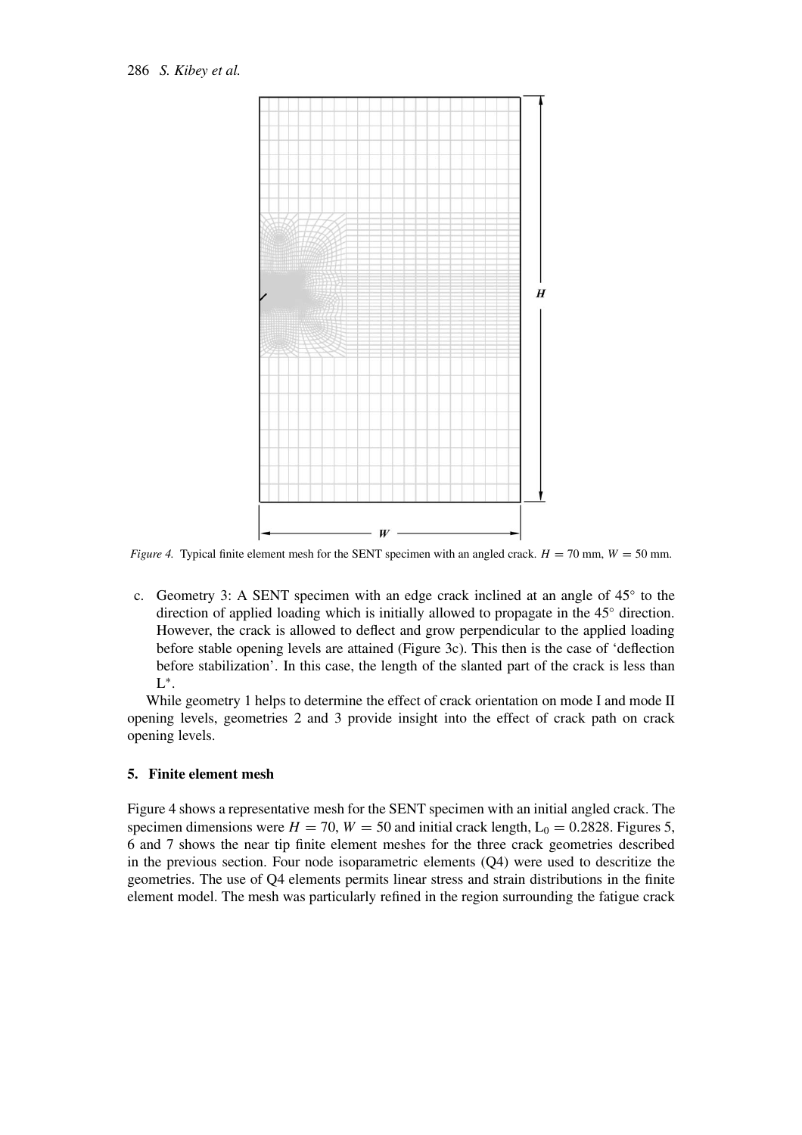

*Figure 4.* Typical finite element mesh for the SENT specimen with an angled crack.  $H = 70$  mm,  $W = 50$  mm.

c. Geometry 3: A SENT specimen with an edge crack inclined at an angle of 45◦ to the direction of applied loading which is initially allowed to propagate in the 45◦ direction. However, the crack is allowed to deflect and grow perpendicular to the applied loading before stable opening levels are attained (Figure 3c). This then is the case of 'deflection before stabilization'. In this case, the length of the slanted part of the crack is less than L∗.

While geometry 1 helps to determine the effect of crack orientation on mode I and mode II opening levels, geometries 2 and 3 provide insight into the effect of crack path on crack opening levels.

### **5. Finite element mesh**

Figure 4 shows a representative mesh for the SENT specimen with an initial angled crack. The specimen dimensions were  $H = 70$ ,  $W = 50$  and initial crack length,  $L_0 = 0.2828$ . Figures 5, 6 and 7 shows the near tip finite element meshes for the three crack geometries described in the previous section. Four node isoparametric elements (Q4) were used to descritize the geometries. The use of Q4 elements permits linear stress and strain distributions in the finite element model. The mesh was particularly refined in the region surrounding the fatigue crack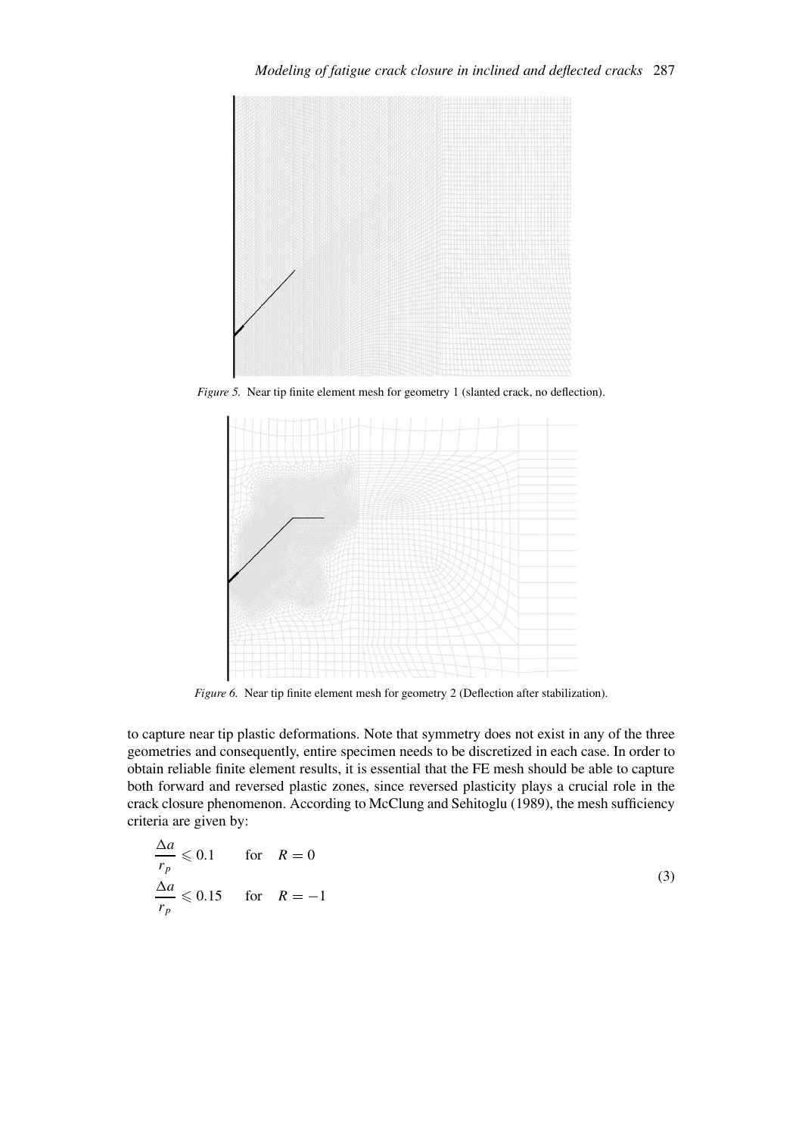

*Figure 5.* Near tip finite element mesh for geometry 1 (slanted crack, no deflection).



*Figure 6.* Near tip finite element mesh for geometry 2 (Deflection after stabilization).

to capture near tip plastic deformations. Note that symmetry does not exist in any of the three geometries and consequently, entire specimen needs to be discretized in each case. In order to obtain reliable finite element results, it is essential that the FE mesh should be able to capture both forward and reversed plastic zones, since reversed plasticity plays a crucial role in the crack closure phenomenon. According to McClung and Sehitoglu (1989), the mesh sufficiency criteria are given by:

$$
\frac{\Delta a}{r_p} \leqslant 0.1 \quad \text{for} \quad R = 0
$$
\n
$$
\frac{\Delta a}{r_p} \leqslant 0.15 \quad \text{for} \quad R = -1
$$
\n(3)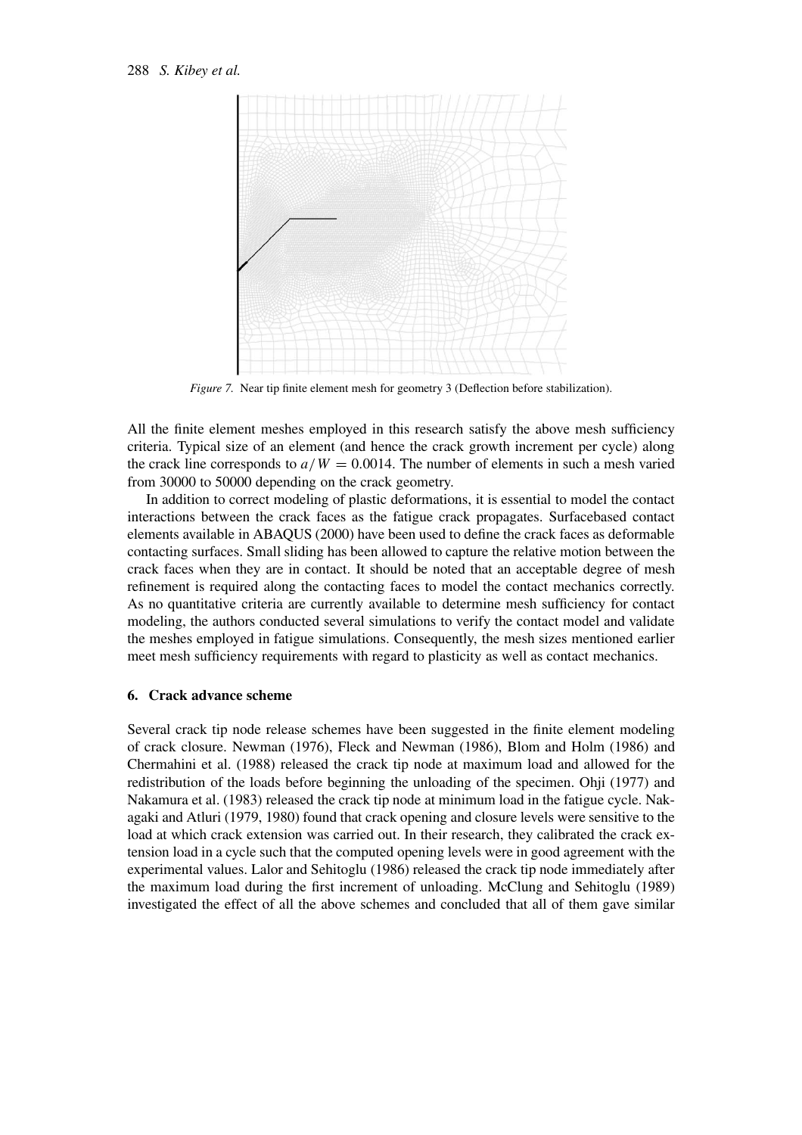

*Figure 7.* Near tip finite element mesh for geometry 3 (Deflection before stabilization).

All the finite element meshes employed in this research satisfy the above mesh sufficiency criteria. Typical size of an element (and hence the crack growth increment per cycle) along the crack line corresponds to  $a/W = 0.0014$ . The number of elements in such a mesh varied from 30000 to 50000 depending on the crack geometry.

In addition to correct modeling of plastic deformations, it is essential to model the contact interactions between the crack faces as the fatigue crack propagates. Surfacebased contact elements available in ABAQUS (2000) have been used to define the crack faces as deformable contacting surfaces. Small sliding has been allowed to capture the relative motion between the crack faces when they are in contact. It should be noted that an acceptable degree of mesh refinement is required along the contacting faces to model the contact mechanics correctly. As no quantitative criteria are currently available to determine mesh sufficiency for contact modeling, the authors conducted several simulations to verify the contact model and validate the meshes employed in fatigue simulations. Consequently, the mesh sizes mentioned earlier meet mesh sufficiency requirements with regard to plasticity as well as contact mechanics.

#### **6. Crack advance scheme**

Several crack tip node release schemes have been suggested in the finite element modeling of crack closure. Newman (1976), Fleck and Newman (1986), Blom and Holm (1986) and Chermahini et al. (1988) released the crack tip node at maximum load and allowed for the redistribution of the loads before beginning the unloading of the specimen. Ohji (1977) and Nakamura et al. (1983) released the crack tip node at minimum load in the fatigue cycle. Nakagaki and Atluri (1979, 1980) found that crack opening and closure levels were sensitive to the load at which crack extension was carried out. In their research, they calibrated the crack extension load in a cycle such that the computed opening levels were in good agreement with the experimental values. Lalor and Sehitoglu (1986) released the crack tip node immediately after the maximum load during the first increment of unloading. McClung and Sehitoglu (1989) investigated the effect of all the above schemes and concluded that all of them gave similar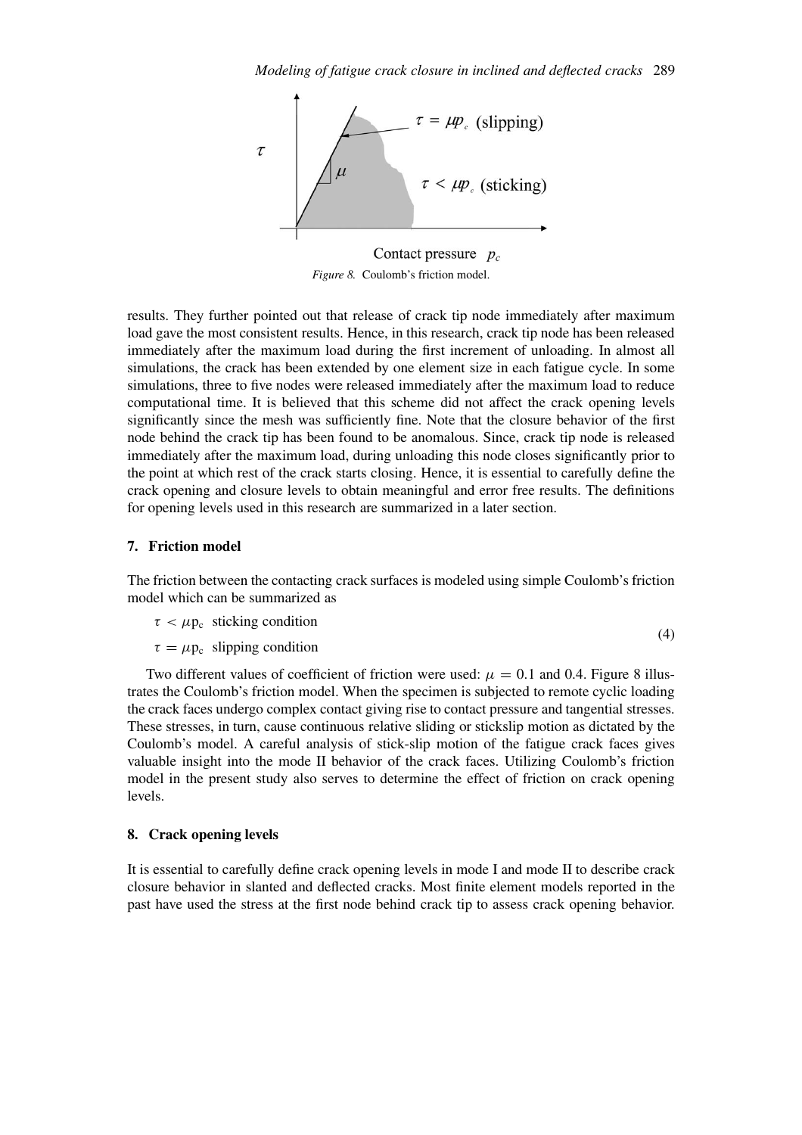

Contact pressure  $p_c$ *Figure 8.* Coulomb's friction model.

results. They further pointed out that release of crack tip node immediately after maximum load gave the most consistent results. Hence, in this research, crack tip node has been released immediately after the maximum load during the first increment of unloading. In almost all simulations, the crack has been extended by one element size in each fatigue cycle. In some simulations, three to five nodes were released immediately after the maximum load to reduce computational time. It is believed that this scheme did not affect the crack opening levels significantly since the mesh was sufficiently fine. Note that the closure behavior of the first node behind the crack tip has been found to be anomalous. Since, crack tip node is released immediately after the maximum load, during unloading this node closes significantly prior to the point at which rest of the crack starts closing. Hence, it is essential to carefully define the crack opening and closure levels to obtain meaningful and error free results. The definitions for opening levels used in this research are summarized in a later section.

### **7. Friction model**

The friction between the contacting crack surfaces is modeled using simple Coulomb's friction model which can be summarized as

 $\tau < \mu p_c$  sticking condition

 $\tau = \mu p_c$  slipping condition (4)

Two different values of coefficient of friction were used:  $\mu = 0.1$  and 0.4. Figure 8 illustrates the Coulomb's friction model. When the specimen is subjected to remote cyclic loading the crack faces undergo complex contact giving rise to contact pressure and tangential stresses. These stresses, in turn, cause continuous relative sliding or stickslip motion as dictated by the Coulomb's model. A careful analysis of stick-slip motion of the fatigue crack faces gives valuable insight into the mode II behavior of the crack faces. Utilizing Coulomb's friction model in the present study also serves to determine the effect of friction on crack opening levels.

#### **8. Crack opening levels**

It is essential to carefully define crack opening levels in mode I and mode II to describe crack closure behavior in slanted and deflected cracks. Most finite element models reported in the past have used the stress at the first node behind crack tip to assess crack opening behavior.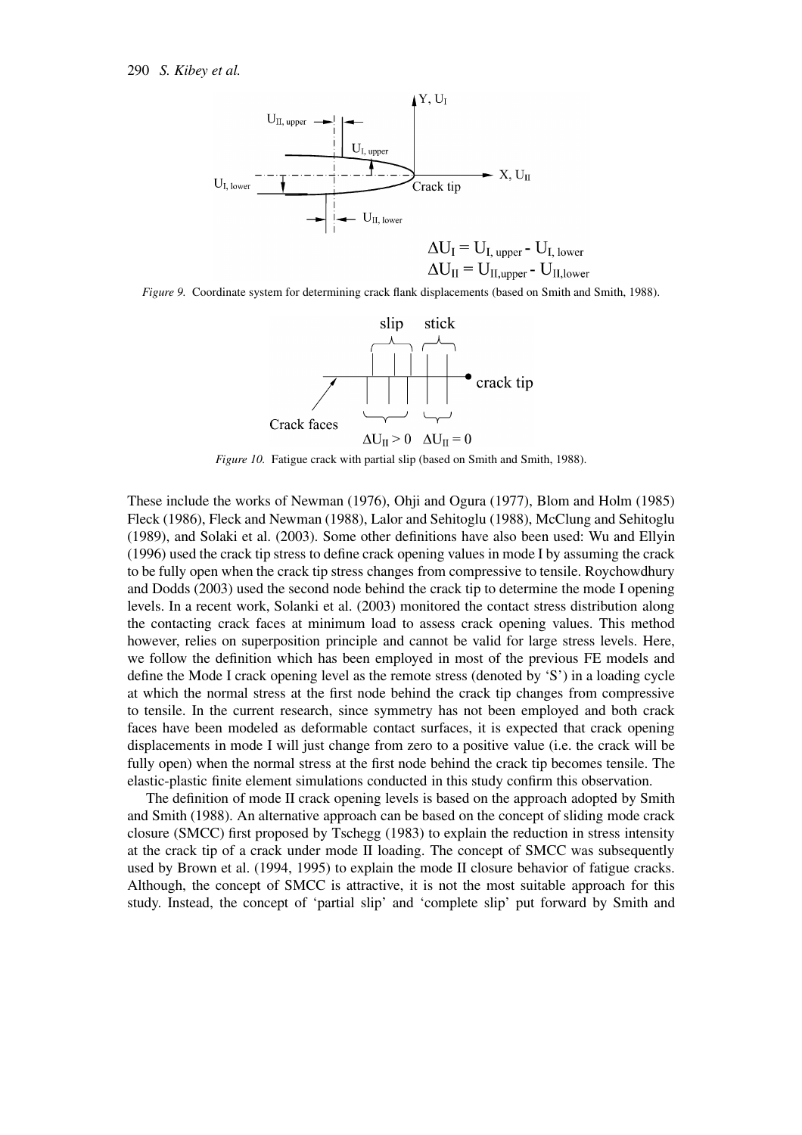

*Figure 9.* Coordinate system for determining crack flank displacements (based on Smith and Smith, 1988).



*Figure 10.* Fatigue crack with partial slip (based on Smith and Smith, 1988).

These include the works of Newman (1976), Ohji and Ogura (1977), Blom and Holm (1985) Fleck (1986), Fleck and Newman (1988), Lalor and Sehitoglu (1988), McClung and Sehitoglu (1989), and Solaki et al. (2003). Some other definitions have also been used: Wu and Ellyin (1996) used the crack tip stress to define crack opening values in mode I by assuming the crack to be fully open when the crack tip stress changes from compressive to tensile. Roychowdhury and Dodds (2003) used the second node behind the crack tip to determine the mode I opening levels. In a recent work, Solanki et al. (2003) monitored the contact stress distribution along the contacting crack faces at minimum load to assess crack opening values. This method however, relies on superposition principle and cannot be valid for large stress levels. Here, we follow the definition which has been employed in most of the previous FE models and define the Mode I crack opening level as the remote stress (denoted by 'S') in a loading cycle at which the normal stress at the first node behind the crack tip changes from compressive to tensile. In the current research, since symmetry has not been employed and both crack faces have been modeled as deformable contact surfaces, it is expected that crack opening displacements in mode I will just change from zero to a positive value (i.e. the crack will be fully open) when the normal stress at the first node behind the crack tip becomes tensile. The elastic-plastic finite element simulations conducted in this study confirm this observation.

The definition of mode II crack opening levels is based on the approach adopted by Smith and Smith (1988). An alternative approach can be based on the concept of sliding mode crack closure (SMCC) first proposed by Tschegg (1983) to explain the reduction in stress intensity at the crack tip of a crack under mode II loading. The concept of SMCC was subsequently used by Brown et al. (1994, 1995) to explain the mode II closure behavior of fatigue cracks. Although, the concept of SMCC is attractive, it is not the most suitable approach for this study. Instead, the concept of 'partial slip' and 'complete slip' put forward by Smith and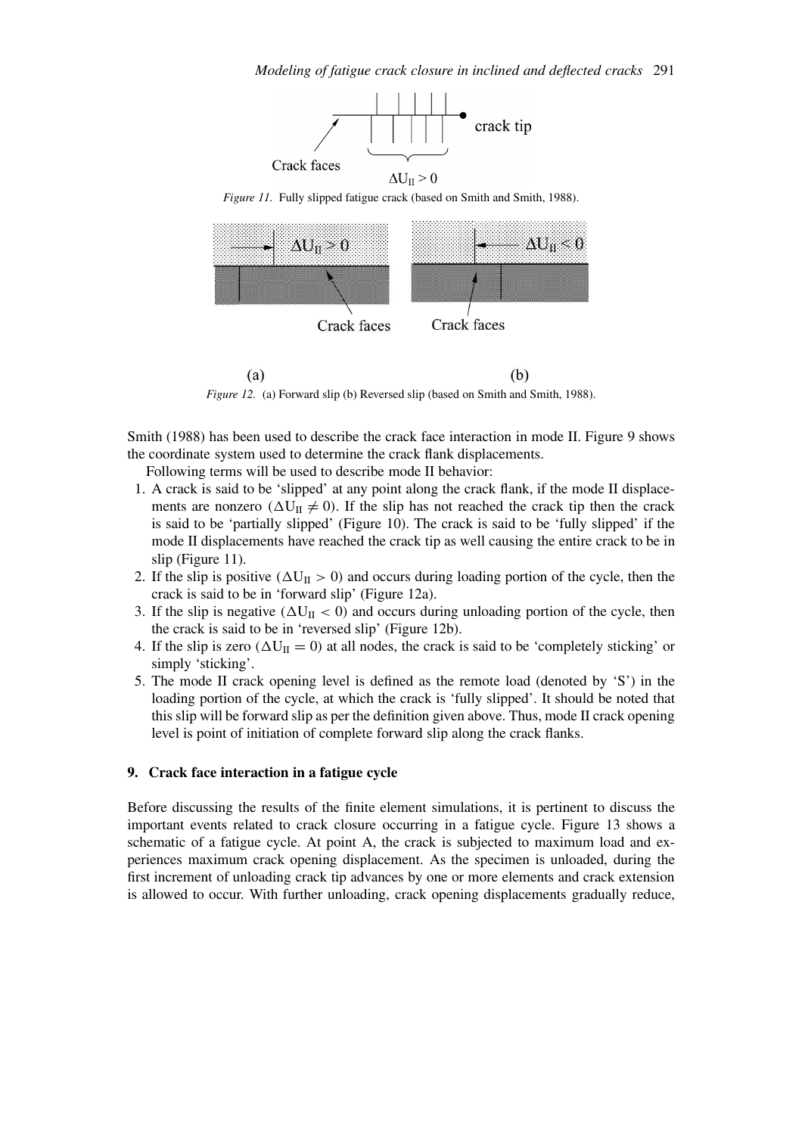

*Figure 11.* Fully slipped fatigue crack (based on Smith and Smith, 1988).



 $(a)$  $(b)$ *Figure 12.* (a) Forward slip (b) Reversed slip (based on Smith and Smith, 1988).

Smith (1988) has been used to describe the crack face interaction in mode II. Figure 9 shows the coordinate system used to determine the crack flank displacements.

Following terms will be used to describe mode II behavior:

- 1. A crack is said to be 'slipped' at any point along the crack flank, if the mode II displacements are nonzero  $(\Delta U_{II} \neq 0)$ . If the slip has not reached the crack tip then the crack is said to be 'partially slipped' (Figure 10). The crack is said to be 'fully slipped' if the mode II displacements have reached the crack tip as well causing the entire crack to be in slip (Figure 11).
- 2. If the slip is positive  $(\Delta U_{II} > 0)$  and occurs during loading portion of the cycle, then the crack is said to be in 'forward slip' (Figure 12a).
- 3. If the slip is negative  $(\Delta U_{II} < 0)$  and occurs during unloading portion of the cycle, then the crack is said to be in 'reversed slip' (Figure 12b).
- 4. If the slip is zero  $(\Delta U_{II} = 0)$  at all nodes, the crack is said to be 'completely sticking' or simply 'sticking'.
- 5. The mode II crack opening level is defined as the remote load (denoted by 'S') in the loading portion of the cycle, at which the crack is 'fully slipped'. It should be noted that this slip will be forward slip as per the definition given above. Thus, mode II crack opening level is point of initiation of complete forward slip along the crack flanks.

### **9. Crack face interaction in a fatigue cycle**

Before discussing the results of the finite element simulations, it is pertinent to discuss the important events related to crack closure occurring in a fatigue cycle. Figure 13 shows a schematic of a fatigue cycle. At point A, the crack is subjected to maximum load and experiences maximum crack opening displacement. As the specimen is unloaded, during the first increment of unloading crack tip advances by one or more elements and crack extension is allowed to occur. With further unloading, crack opening displacements gradually reduce,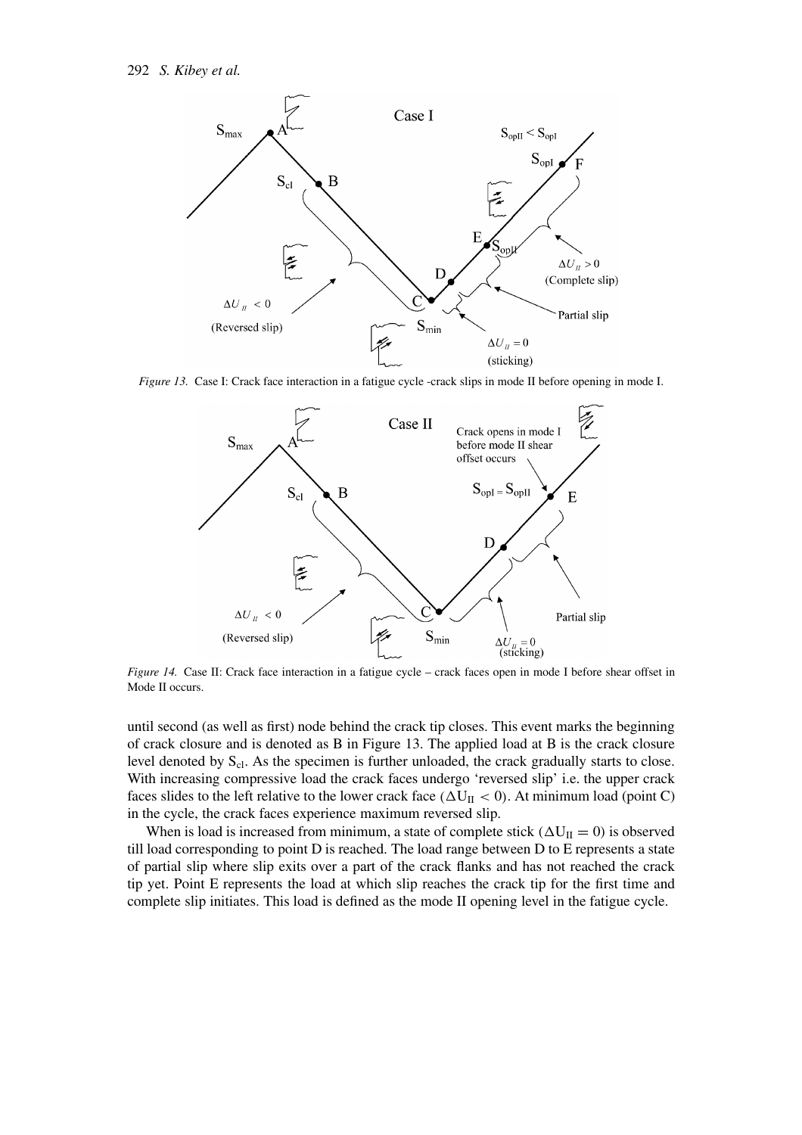

*Figure 13.* Case I: Crack face interaction in a fatigue cycle -crack slips in mode II before opening in mode I.



*Figure 14.* Case II: Crack face interaction in a fatigue cycle – crack faces open in mode I before shear offset in Mode II occurs.

until second (as well as first) node behind the crack tip closes. This event marks the beginning of crack closure and is denoted as B in Figure 13. The applied load at B is the crack closure level denoted by  $S_{cl}$ . As the specimen is further unloaded, the crack gradually starts to close. With increasing compressive load the crack faces undergo 'reversed slip' i.e. the upper crack faces slides to the left relative to the lower crack face  $(\Delta U_{II} < 0)$ . At minimum load (point C) in the cycle, the crack faces experience maximum reversed slip.

When is load is increased from minimum, a state of complete stick  $(\Delta U_{II} = 0)$  is observed till load corresponding to point D is reached. The load range between D to E represents a state of partial slip where slip exits over a part of the crack flanks and has not reached the crack tip yet. Point E represents the load at which slip reaches the crack tip for the first time and complete slip initiates. This load is defined as the mode II opening level in the fatigue cycle.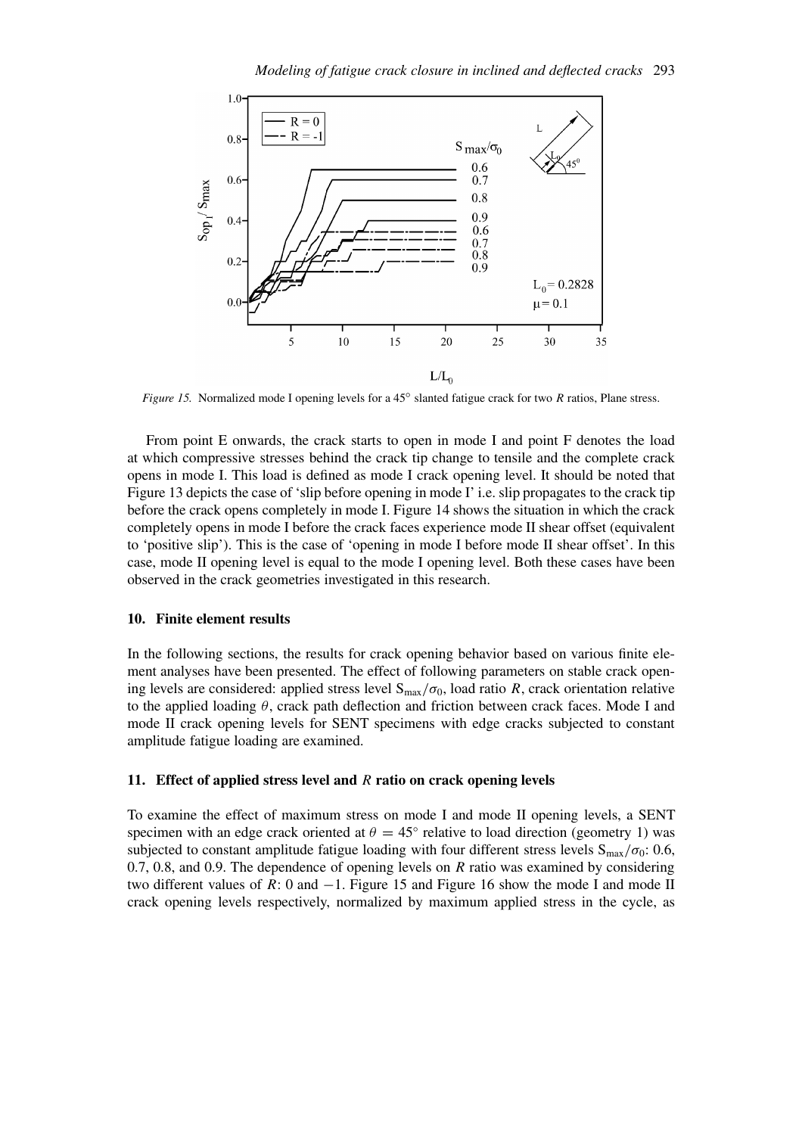

*Figure 15.* Normalized mode I opening levels for a 45<sup>°</sup> slanted fatigue crack for two *R* ratios, Plane stress.

From point E onwards, the crack starts to open in mode I and point F denotes the load at which compressive stresses behind the crack tip change to tensile and the complete crack opens in mode I. This load is defined as mode I crack opening level. It should be noted that Figure 13 depicts the case of 'slip before opening in mode I' i.e. slip propagates to the crack tip before the crack opens completely in mode I. Figure 14 shows the situation in which the crack completely opens in mode I before the crack faces experience mode II shear offset (equivalent to 'positive slip'). This is the case of 'opening in mode I before mode II shear offset'. In this case, mode II opening level is equal to the mode I opening level. Both these cases have been observed in the crack geometries investigated in this research.

#### **10. Finite element results**

In the following sections, the results for crack opening behavior based on various finite element analyses have been presented. The effect of following parameters on stable crack opening levels are considered: applied stress level  $S_{\text{max}}/\sigma_0$ , load ratio *R*, crack orientation relative to the applied loading *θ*, crack path deflection and friction between crack faces. Mode I and mode II crack opening levels for SENT specimens with edge cracks subjected to constant amplitude fatigue loading are examined.

### **11. Effect of applied stress level and** *R* **ratio on crack opening levels**

To examine the effect of maximum stress on mode I and mode II opening levels, a SENT specimen with an edge crack oriented at  $\theta = 45^\circ$  relative to load direction (geometry 1) was subjected to constant amplitude fatigue loading with four different stress levels  $S_{\text{max}}/\sigma_0$ : 0.6, 0.7, 0.8, and 0.9. The dependence of opening levels on *R* ratio was examined by considering two different values of *R*: 0 and −1. Figure 15 and Figure 16 show the mode I and mode II crack opening levels respectively, normalized by maximum applied stress in the cycle, as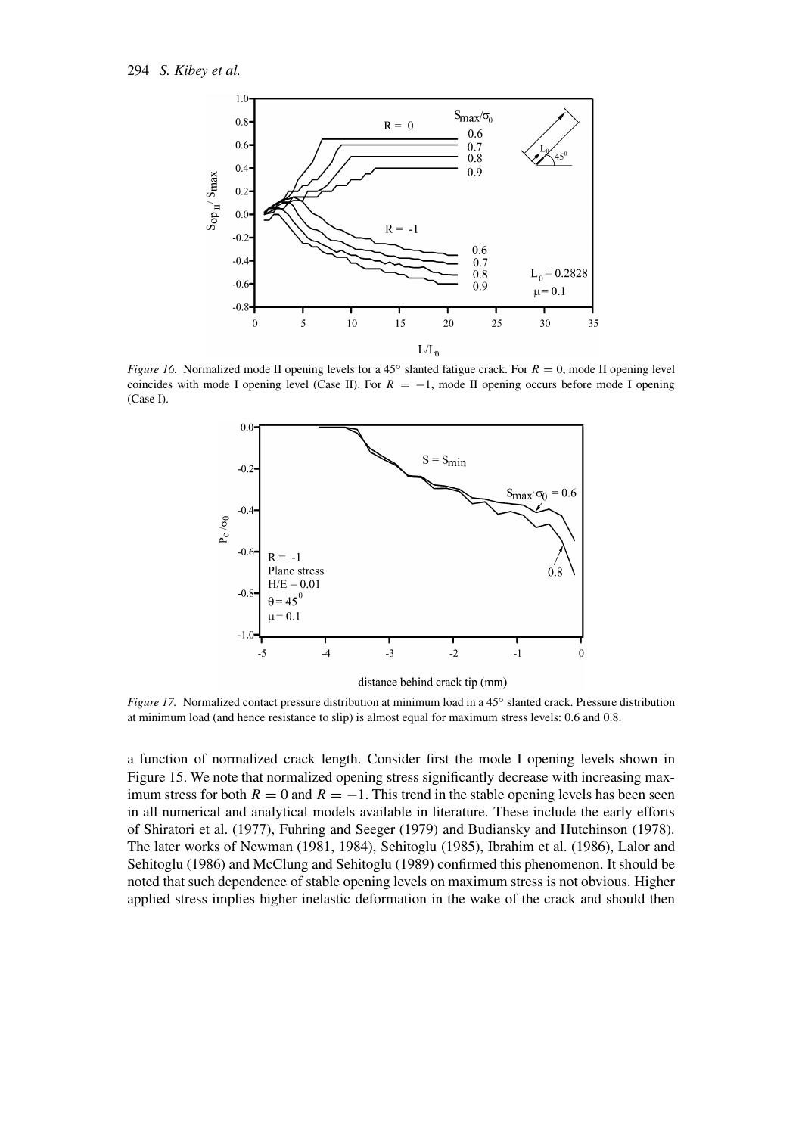

*Figure 16.* Normalized mode II opening levels for a 45<sup>°</sup> slanted fatigue crack. For *R* = 0, mode II opening level coincides with mode I opening level (Case II). For  $R = -1$ , mode II opening occurs before mode I opening (Case I).



distance behind crack tip (mm)

*Figure 17.* Normalized contact pressure distribution at minimum load in a 45<sup>°</sup> slanted crack. Pressure distribution at minimum load (and hence resistance to slip) is almost equal for maximum stress levels: 0.6 and 0.8.

a function of normalized crack length. Consider first the mode I opening levels shown in Figure 15. We note that normalized opening stress significantly decrease with increasing maximum stress for both  $R = 0$  and  $R = -1$ . This trend in the stable opening levels has been seen in all numerical and analytical models available in literature. These include the early efforts of Shiratori et al. (1977), Fuhring and Seeger (1979) and Budiansky and Hutchinson (1978). The later works of Newman (1981, 1984), Sehitoglu (1985), Ibrahim et al. (1986), Lalor and Sehitoglu (1986) and McClung and Sehitoglu (1989) confirmed this phenomenon. It should be noted that such dependence of stable opening levels on maximum stress is not obvious. Higher applied stress implies higher inelastic deformation in the wake of the crack and should then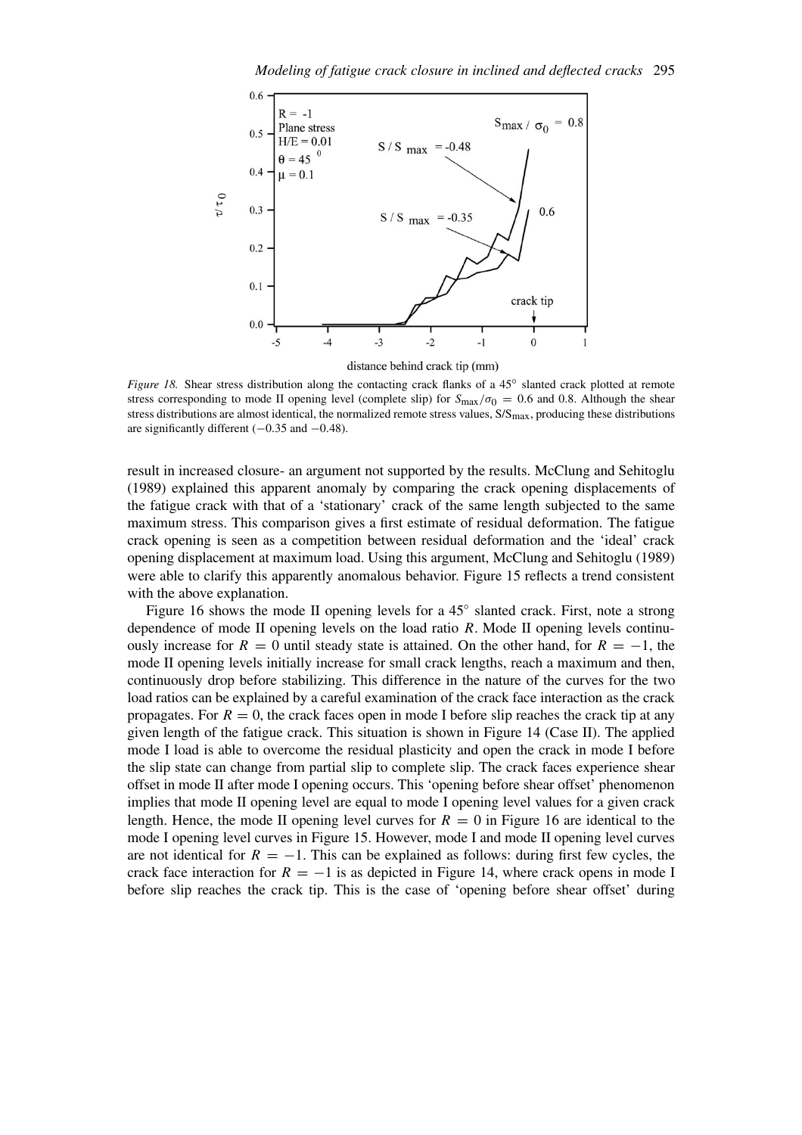

*Figure 18.* Shear stress distribution along the contacting crack flanks of a 45<sup>°</sup> slanted crack plotted at remote stress corresponding to mode II opening level (complete slip) for  $S_{\text{max}}/\sigma_0 = 0.6$  and 0.8. Although the shear stress distributions are almost identical, the normalized remote stress values,  $S/S<sub>max</sub>$ , producing these distributions are significantly different (−0*.*35 and −0*.*48).

result in increased closure- an argument not supported by the results. McClung and Sehitoglu (1989) explained this apparent anomaly by comparing the crack opening displacements of the fatigue crack with that of a 'stationary' crack of the same length subjected to the same maximum stress. This comparison gives a first estimate of residual deformation. The fatigue crack opening is seen as a competition between residual deformation and the 'ideal' crack opening displacement at maximum load. Using this argument, McClung and Sehitoglu (1989) were able to clarify this apparently anomalous behavior. Figure 15 reflects a trend consistent with the above explanation.

Figure 16 shows the mode II opening levels for a 45◦ slanted crack. First, note a strong dependence of mode II opening levels on the load ratio *R*. Mode II opening levels continuously increase for  $R = 0$  until steady state is attained. On the other hand, for  $R = -1$ , the mode II opening levels initially increase for small crack lengths, reach a maximum and then, continuously drop before stabilizing. This difference in the nature of the curves for the two load ratios can be explained by a careful examination of the crack face interaction as the crack propagates. For  $R = 0$ , the crack faces open in mode I before slip reaches the crack tip at any given length of the fatigue crack. This situation is shown in Figure 14 (Case II). The applied mode I load is able to overcome the residual plasticity and open the crack in mode I before the slip state can change from partial slip to complete slip. The crack faces experience shear offset in mode II after mode I opening occurs. This 'opening before shear offset' phenomenon implies that mode II opening level are equal to mode I opening level values for a given crack length. Hence, the mode II opening level curves for  $R = 0$  in Figure 16 are identical to the mode I opening level curves in Figure 15. However, mode I and mode II opening level curves are not identical for  $R = -1$ . This can be explained as follows: during first few cycles, the crack face interaction for  $R = -1$  is as depicted in Figure 14, where crack opens in mode I before slip reaches the crack tip. This is the case of 'opening before shear offset' during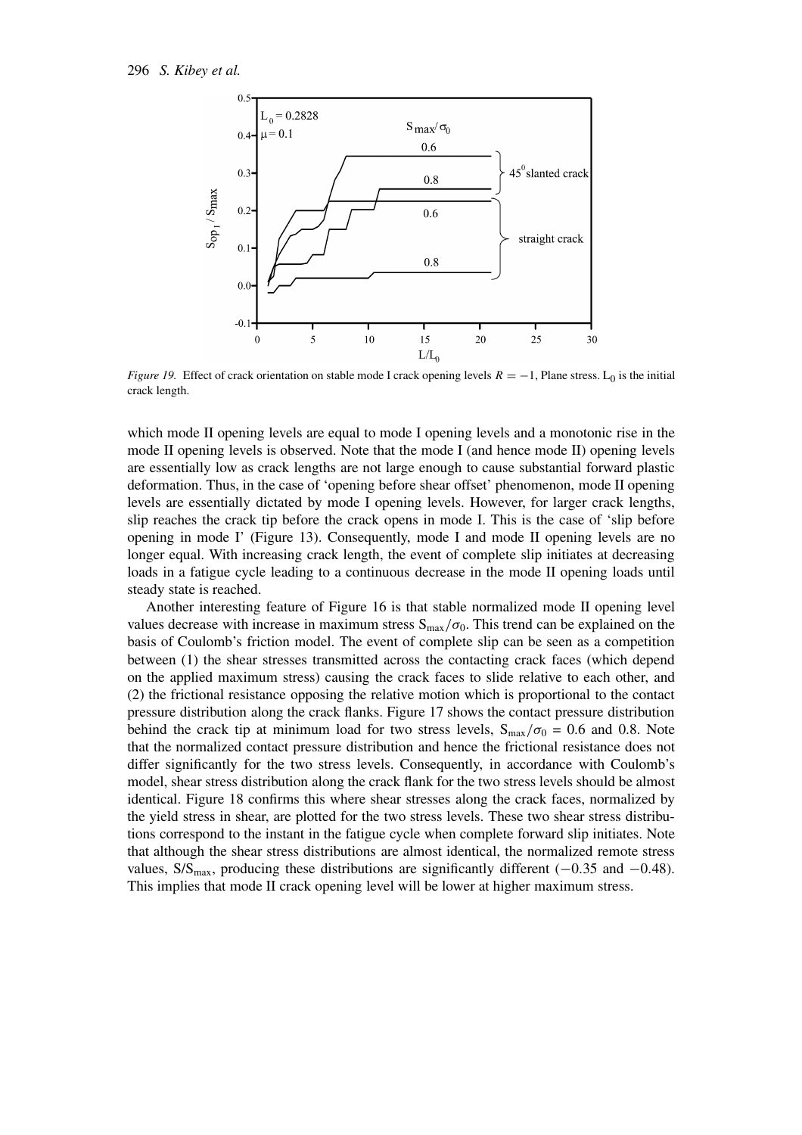

*Figure 19.* Effect of crack orientation on stable mode I crack opening levels  $R = -1$ , Plane stress. L<sub>0</sub> is the initial crack length.

which mode II opening levels are equal to mode I opening levels and a monotonic rise in the mode II opening levels is observed. Note that the mode I (and hence mode II) opening levels are essentially low as crack lengths are not large enough to cause substantial forward plastic deformation. Thus, in the case of 'opening before shear offset' phenomenon, mode II opening levels are essentially dictated by mode I opening levels. However, for larger crack lengths, slip reaches the crack tip before the crack opens in mode I. This is the case of 'slip before opening in mode I' (Figure 13). Consequently, mode I and mode II opening levels are no longer equal. With increasing crack length, the event of complete slip initiates at decreasing loads in a fatigue cycle leading to a continuous decrease in the mode II opening loads until steady state is reached.

Another interesting feature of Figure 16 is that stable normalized mode II opening level values decrease with increase in maximum stress  $S_{\text{max}}/\sigma_0$ . This trend can be explained on the basis of Coulomb's friction model. The event of complete slip can be seen as a competition between (1) the shear stresses transmitted across the contacting crack faces (which depend on the applied maximum stress) causing the crack faces to slide relative to each other, and (2) the frictional resistance opposing the relative motion which is proportional to the contact pressure distribution along the crack flanks. Figure 17 shows the contact pressure distribution behind the crack tip at minimum load for two stress levels,  $S_{\text{max}}/\sigma_0 = 0.6$  and 0.8. Note that the normalized contact pressure distribution and hence the frictional resistance does not differ significantly for the two stress levels. Consequently, in accordance with Coulomb's model, shear stress distribution along the crack flank for the two stress levels should be almost identical. Figure 18 confirms this where shear stresses along the crack faces, normalized by the yield stress in shear, are plotted for the two stress levels. These two shear stress distributions correspond to the instant in the fatigue cycle when complete forward slip initiates. Note that although the shear stress distributions are almost identical, the normalized remote stress values, S/Smax, producing these distributions are significantly different (−0*.*35 and −0*.*48). This implies that mode II crack opening level will be lower at higher maximum stress.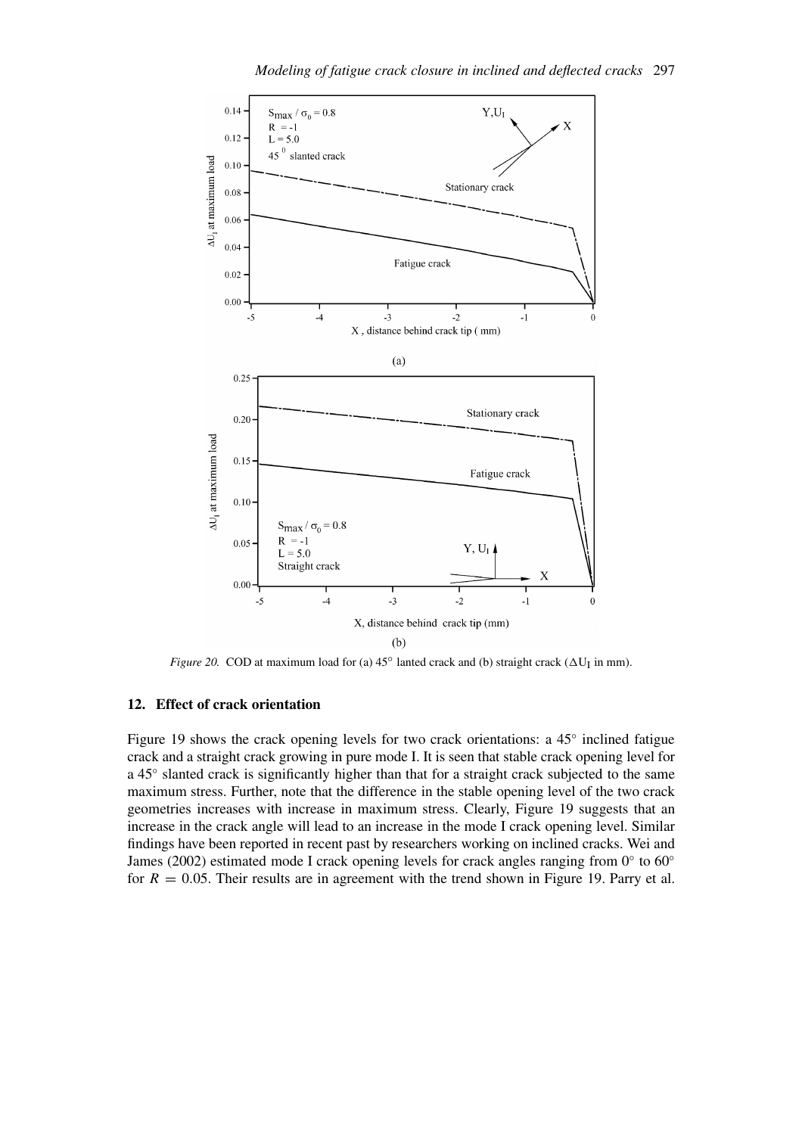![](_page_18_Figure_0.jpeg)

*Figure 20.* COD at maximum load for (a)  $45^\circ$  lanted crack and (b) straight crack ( $\Delta U_I$  in mm).

#### **12. Effect of crack orientation**

Figure 19 shows the crack opening levels for two crack orientations: a 45◦ inclined fatigue crack and a straight crack growing in pure mode I. It is seen that stable crack opening level for a 45◦ slanted crack is significantly higher than that for a straight crack subjected to the same maximum stress. Further, note that the difference in the stable opening level of the two crack geometries increases with increase in maximum stress. Clearly, Figure 19 suggests that an increase in the crack angle will lead to an increase in the mode I crack opening level. Similar findings have been reported in recent past by researchers working on inclined cracks. Wei and James (2002) estimated mode I crack opening levels for crack angles ranging from 0◦ to 60◦ for  $R = 0.05$ . Their results are in agreement with the trend shown in Figure 19. Parry et al.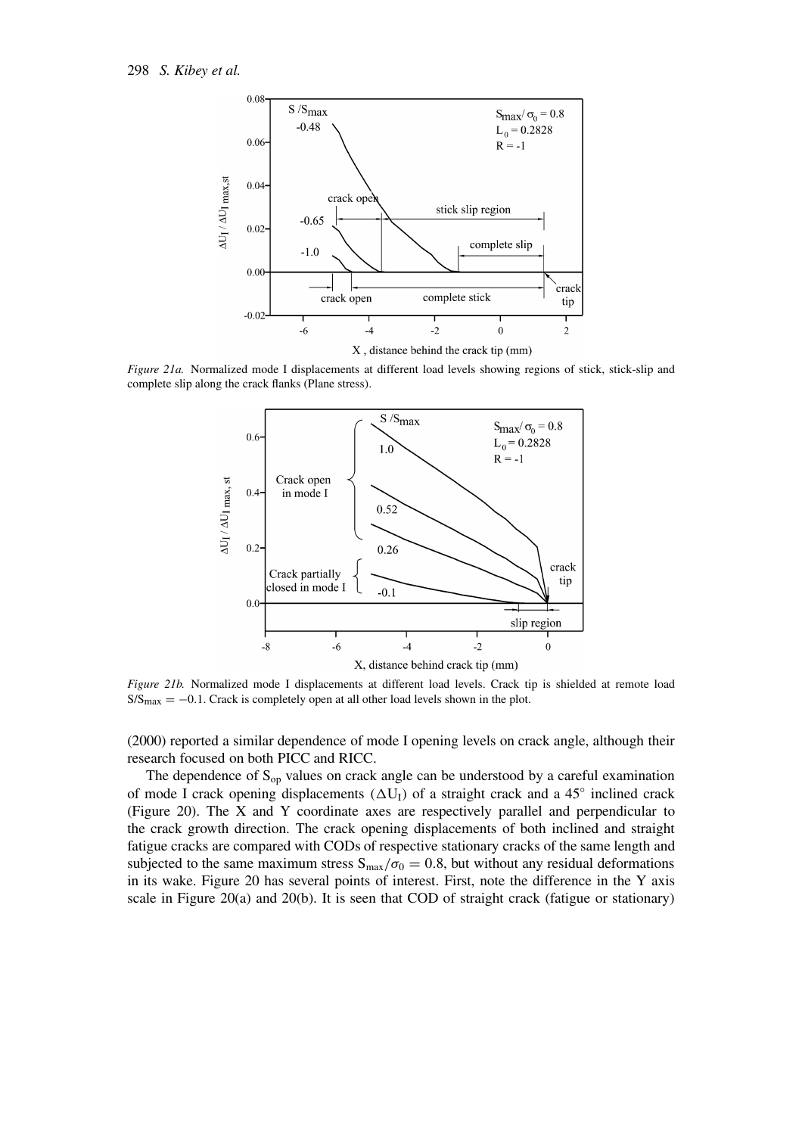![](_page_19_Figure_1.jpeg)

*Figure 21a.* Normalized mode I displacements at different load levels showing regions of stick, stick-slip and complete slip along the crack flanks (Plane stress).

![](_page_19_Figure_3.jpeg)

*Figure 21b.* Normalized mode I displacements at different load levels. Crack tip is shielded at remote load  $S/S<sub>max</sub> = -0.1$ . Crack is completely open at all other load levels shown in the plot.

(2000) reported a similar dependence of mode I opening levels on crack angle, although their research focused on both PICC and RICC.

The dependence of  $S_{op}$  values on crack angle can be understood by a careful examination of mode I crack opening displacements  $(\Delta U_I)$  of a straight crack and a 45 $\degree$  inclined crack (Figure 20). The X and Y coordinate axes are respectively parallel and perpendicular to the crack growth direction. The crack opening displacements of both inclined and straight fatigue cracks are compared with CODs of respective stationary cracks of the same length and subjected to the same maximum stress  $S_{\text{max}}/\sigma_0 = 0.8$ , but without any residual deformations in its wake. Figure 20 has several points of interest. First, note the difference in the Y axis scale in Figure 20(a) and 20(b). It is seen that COD of straight crack (fatigue or stationary)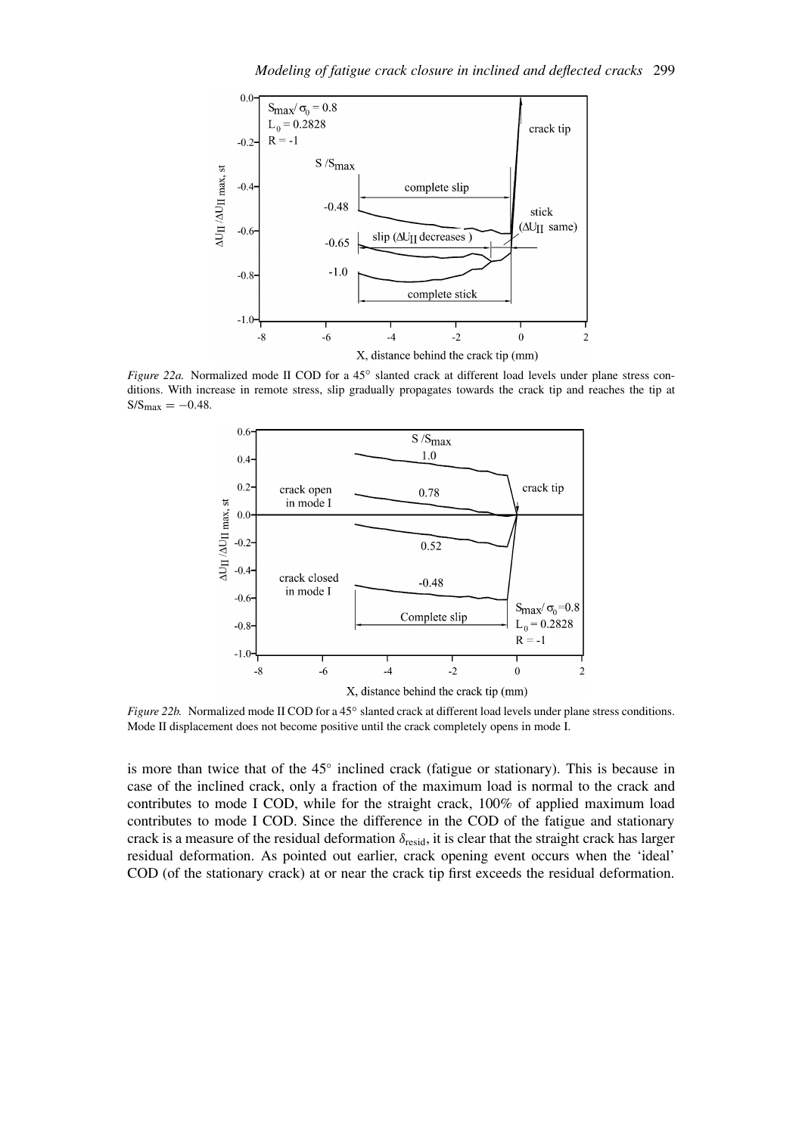![](_page_20_Figure_1.jpeg)

*Figure 22a.* Normalized mode II COD for a 45° slanted crack at different load levels under plane stress conditions. With increase in remote stress, slip gradually propagates towards the crack tip and reaches the tip at  $S/S_{max} = -0.48$ .

![](_page_20_Figure_3.jpeg)

*Figure 22b.* Normalized mode II COD for a 45° slanted crack at different load levels under plane stress conditions. Mode II displacement does not become positive until the crack completely opens in mode I.

is more than twice that of the 45◦ inclined crack (fatigue or stationary). This is because in case of the inclined crack, only a fraction of the maximum load is normal to the crack and contributes to mode I COD, while for the straight crack, 100% of applied maximum load contributes to mode I COD. Since the difference in the COD of the fatigue and stationary crack is a measure of the residual deformation *δ*resid, it is clear that the straight crack has larger residual deformation. As pointed out earlier, crack opening event occurs when the 'ideal' COD (of the stationary crack) at or near the crack tip first exceeds the residual deformation.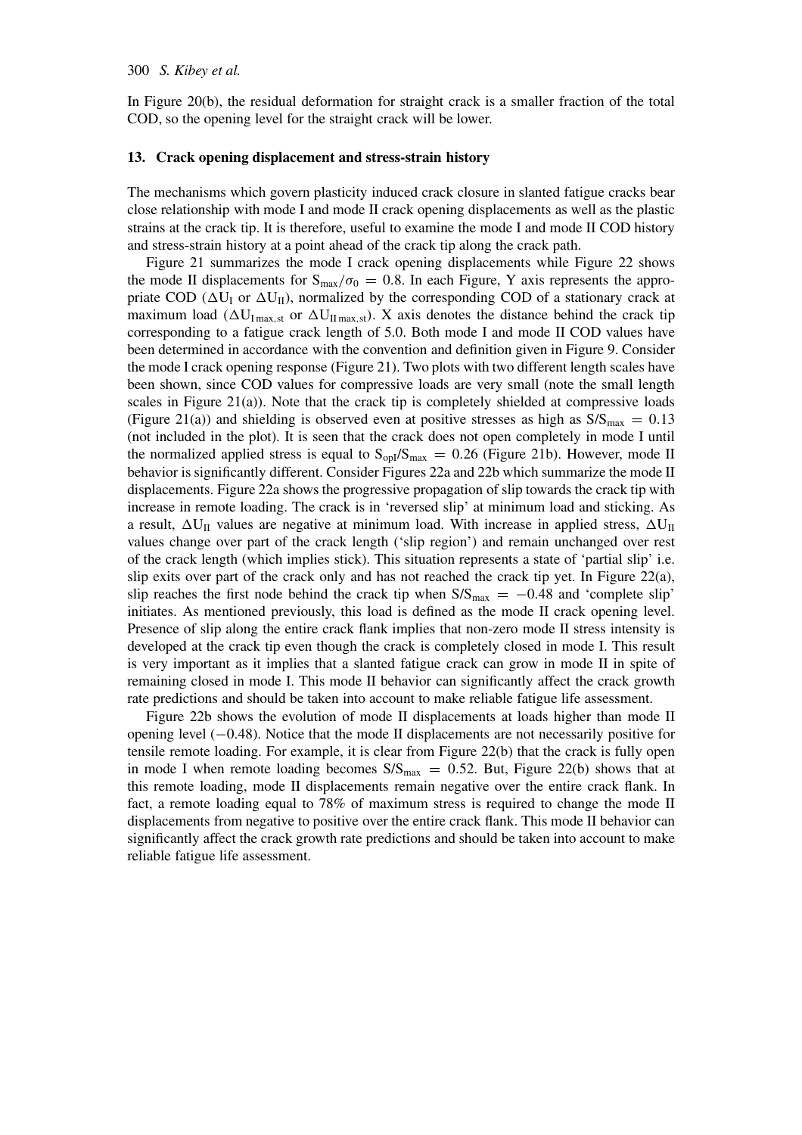In Figure 20(b), the residual deformation for straight crack is a smaller fraction of the total COD, so the opening level for the straight crack will be lower.

#### **13. Crack opening displacement and stress-strain history**

The mechanisms which govern plasticity induced crack closure in slanted fatigue cracks bear close relationship with mode I and mode II crack opening displacements as well as the plastic strains at the crack tip. It is therefore, useful to examine the mode I and mode II COD history and stress-strain history at a point ahead of the crack tip along the crack path.

Figure 21 summarizes the mode I crack opening displacements while Figure 22 shows the mode II displacements for  $S_{\text{max}}/\sigma_0 = 0.8$ . In each Figure, Y axis represents the appropriate COD  $(\Delta U_I \text{ or } \Delta U_{II})$ , normalized by the corresponding COD of a stationary crack at maximum load  $(\Delta U_{\text{Imax,st}})$  or  $\Delta U_{\text{Imax,st}}$ . X axis denotes the distance behind the crack tip corresponding to a fatigue crack length of 5.0. Both mode I and mode II COD values have been determined in accordance with the convention and definition given in Figure 9. Consider the mode I crack opening response (Figure 21). Two plots with two different length scales have been shown, since COD values for compressive loads are very small (note the small length scales in Figure 21(a)). Note that the crack tip is completely shielded at compressive loads (Figure 21(a)) and shielding is observed even at positive stresses as high as  $S/S_{\text{max}} = 0.13$ (not included in the plot). It is seen that the crack does not open completely in mode I until the normalized applied stress is equal to  $S_{\text{opl}}/S_{\text{max}} = 0.26$  (Figure 21b). However, mode II behavior is significantly different. Consider Figures 22a and 22b which summarize the mode II displacements. Figure 22a shows the progressive propagation of slip towards the crack tip with increase in remote loading. The crack is in 'reversed slip' at minimum load and sticking. As a result,  $\Delta U_{II}$  values are negative at minimum load. With increase in applied stress,  $\Delta U_{II}$ values change over part of the crack length ('slip region') and remain unchanged over rest of the crack length (which implies stick). This situation represents a state of 'partial slip' i.e. slip exits over part of the crack only and has not reached the crack tip yet. In Figure 22(a), slip reaches the first node behind the crack tip when  $S/S_{\text{max}} = -0.48$  and 'complete slip' initiates. As mentioned previously, this load is defined as the mode II crack opening level. Presence of slip along the entire crack flank implies that non-zero mode II stress intensity is developed at the crack tip even though the crack is completely closed in mode I. This result is very important as it implies that a slanted fatigue crack can grow in mode II in spite of remaining closed in mode I. This mode II behavior can significantly affect the crack growth rate predictions and should be taken into account to make reliable fatigue life assessment.

Figure 22b shows the evolution of mode II displacements at loads higher than mode II opening level (−0*.*48). Notice that the mode II displacements are not necessarily positive for tensile remote loading. For example, it is clear from Figure 22(b) that the crack is fully open in mode I when remote loading becomes  $S/S_{max} = 0.52$ . But, Figure 22(b) shows that at this remote loading, mode II displacements remain negative over the entire crack flank. In fact, a remote loading equal to 78% of maximum stress is required to change the mode II displacements from negative to positive over the entire crack flank. This mode II behavior can significantly affect the crack growth rate predictions and should be taken into account to make reliable fatigue life assessment.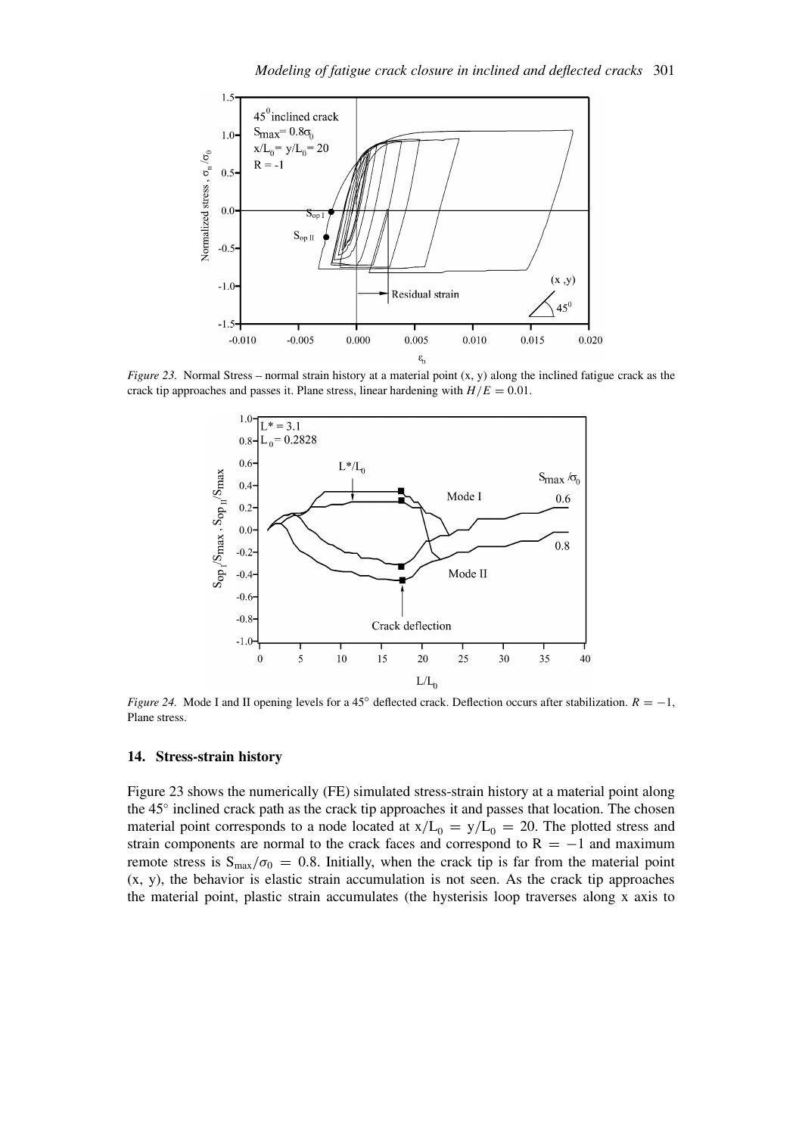![](_page_22_Figure_1.jpeg)

*Figure 23.* Normal Stress – normal strain history at a material point (x, y) along the inclined fatigue crack as the crack tip approaches and passes it. Plane stress, linear hardening with  $H/E = 0.01$ .

![](_page_22_Figure_3.jpeg)

*Figure 24.* Mode I and II opening levels for a 45<sup>°</sup> deflected crack. Deflection occurs after stabilization.  $R = −1$ , Plane stress.

### **14. Stress-strain history**

Figure 23 shows the numerically (FE) simulated stress-strain history at a material point along the 45◦ inclined crack path as the crack tip approaches it and passes that location. The chosen material point corresponds to a node located at  $x/L_0 = y/L_0 = 20$ . The plotted stress and strain components are normal to the crack faces and correspond to  $R = -1$  and maximum remote stress is  $S_{\text{max}}/\sigma_0 = 0.8$ . Initially, when the crack tip is far from the material point (x, y), the behavior is elastic strain accumulation is not seen. As the crack tip approaches the material point, plastic strain accumulates (the hysterisis loop traverses along x axis to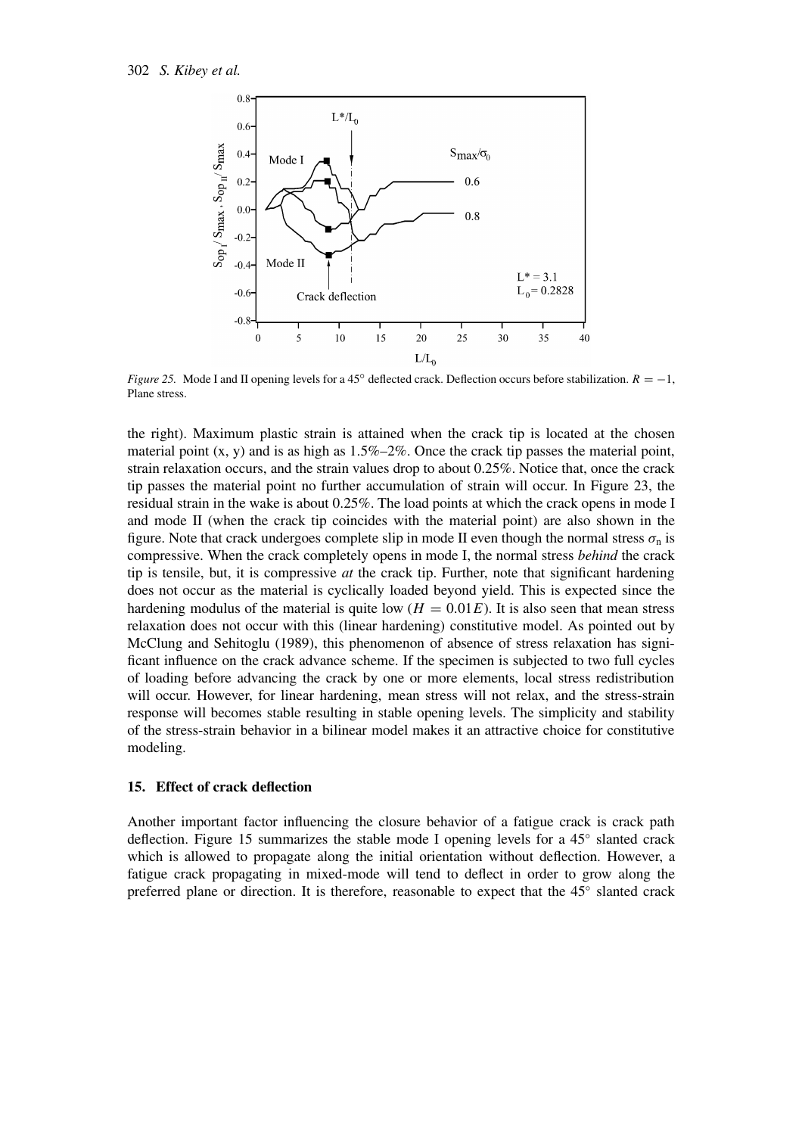![](_page_23_Figure_1.jpeg)

*Figure 25.* Mode I and II opening levels for a 45° deflected crack. Deflection occurs before stabilization.  $R = −1$ , Plane stress.

the right). Maximum plastic strain is attained when the crack tip is located at the chosen material point  $(x, y)$  and is as high as  $1.5\% - 2\%$ . Once the crack tip passes the material point, strain relaxation occurs, and the strain values drop to about 0.25%. Notice that, once the crack tip passes the material point no further accumulation of strain will occur. In Figure 23, the residual strain in the wake is about 0.25%. The load points at which the crack opens in mode I and mode II (when the crack tip coincides with the material point) are also shown in the figure. Note that crack undergoes complete slip in mode II even though the normal stress  $\sigma_n$  is compressive. When the crack completely opens in mode I, the normal stress *behind* the crack tip is tensile, but, it is compressive *at* the crack tip. Further, note that significant hardening does not occur as the material is cyclically loaded beyond yield. This is expected since the hardening modulus of the material is quite low  $(H = 0.01E)$ . It is also seen that mean stress relaxation does not occur with this (linear hardening) constitutive model. As pointed out by McClung and Sehitoglu (1989), this phenomenon of absence of stress relaxation has significant influence on the crack advance scheme. If the specimen is subjected to two full cycles of loading before advancing the crack by one or more elements, local stress redistribution will occur. However, for linear hardening, mean stress will not relax, and the stress-strain response will becomes stable resulting in stable opening levels. The simplicity and stability of the stress-strain behavior in a bilinear model makes it an attractive choice for constitutive modeling.

### **15. Effect of crack deflection**

Another important factor influencing the closure behavior of a fatigue crack is crack path deflection. Figure 15 summarizes the stable mode I opening levels for a 45◦ slanted crack which is allowed to propagate along the initial orientation without deflection. However, a fatigue crack propagating in mixed-mode will tend to deflect in order to grow along the preferred plane or direction. It is therefore, reasonable to expect that the 45◦ slanted crack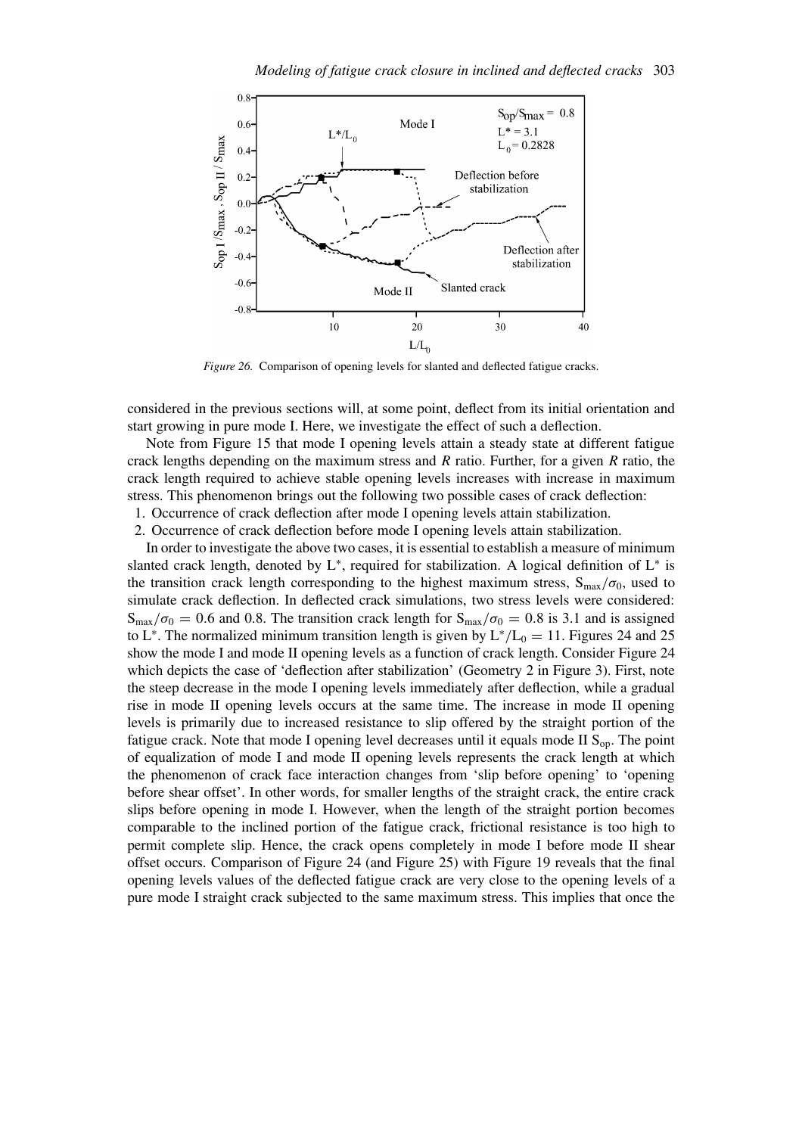![](_page_24_Figure_1.jpeg)

*Figure 26.* Comparison of opening levels for slanted and deflected fatigue cracks.

considered in the previous sections will, at some point, deflect from its initial orientation and start growing in pure mode I. Here, we investigate the effect of such a deflection.

Note from Figure 15 that mode I opening levels attain a steady state at different fatigue crack lengths depending on the maximum stress and *R* ratio. Further, for a given *R* ratio, the crack length required to achieve stable opening levels increases with increase in maximum stress. This phenomenon brings out the following two possible cases of crack deflection:

1. Occurrence of crack deflection after mode I opening levels attain stabilization.

2. Occurrence of crack deflection before mode I opening levels attain stabilization.

In order to investigate the above two cases, it is essential to establish a measure of minimum slanted crack length, denoted by  $L^*$ , required for stabilization. A logical definition of  $L^*$  is the transition crack length corresponding to the highest maximum stress,  $S_{max}/\sigma_0$ , used to simulate crack deflection. In deflected crack simulations, two stress levels were considered:  $S_{\text{max}}/\sigma_0 = 0.6$  and 0.8. The transition crack length for  $S_{\text{max}}/\sigma_0 = 0.8$  is 3.1 and is assigned to L<sup>∗</sup>. The normalized minimum transition length is given by  $L^*/L_0 = 11$ . Figures 24 and 25 show the mode I and mode II opening levels as a function of crack length. Consider Figure 24 which depicts the case of 'deflection after stabilization' (Geometry 2 in Figure 3). First, note the steep decrease in the mode I opening levels immediately after deflection, while a gradual rise in mode II opening levels occurs at the same time. The increase in mode II opening levels is primarily due to increased resistance to slip offered by the straight portion of the fatigue crack. Note that mode I opening level decreases until it equals mode II  $S_{op}$ . The point of equalization of mode I and mode II opening levels represents the crack length at which the phenomenon of crack face interaction changes from 'slip before opening' to 'opening before shear offset'. In other words, for smaller lengths of the straight crack, the entire crack slips before opening in mode I. However, when the length of the straight portion becomes comparable to the inclined portion of the fatigue crack, frictional resistance is too high to permit complete slip. Hence, the crack opens completely in mode I before mode II shear offset occurs. Comparison of Figure 24 (and Figure 25) with Figure 19 reveals that the final opening levels values of the deflected fatigue crack are very close to the opening levels of a pure mode I straight crack subjected to the same maximum stress. This implies that once the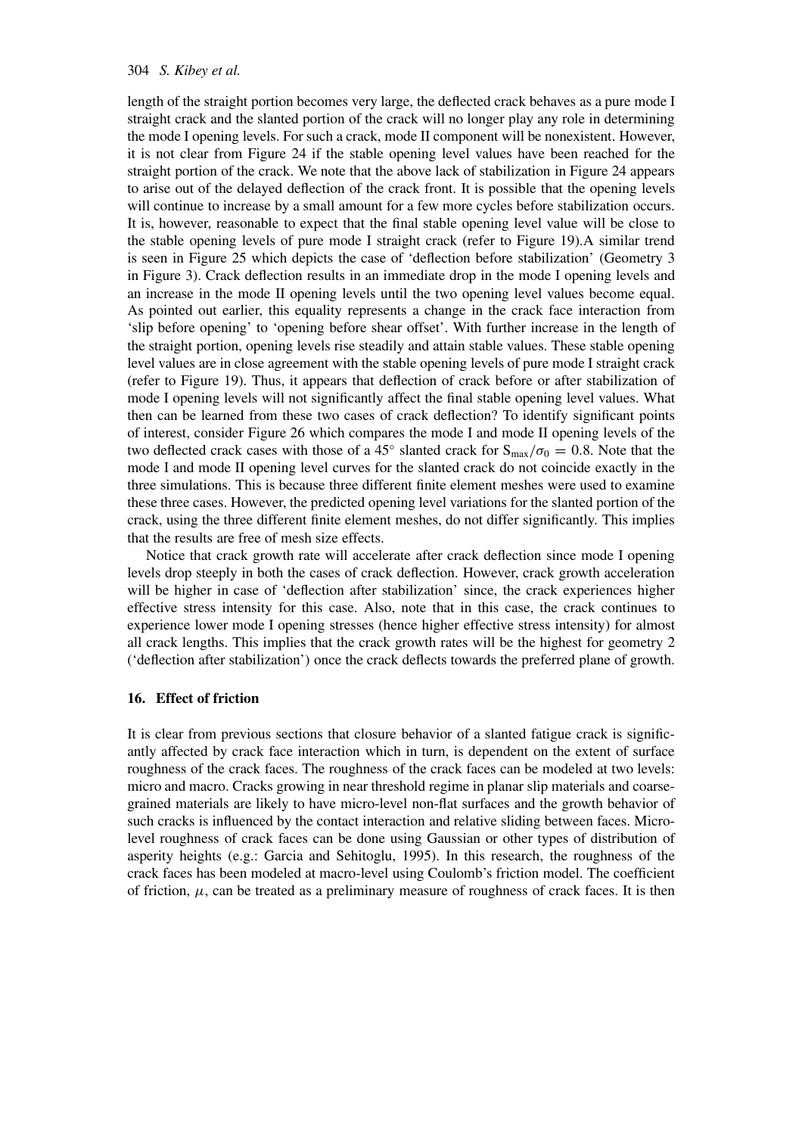### 304 *S. Kibey et al.*

length of the straight portion becomes very large, the deflected crack behaves as a pure mode I straight crack and the slanted portion of the crack will no longer play any role in determining the mode I opening levels. For such a crack, mode II component will be nonexistent. However, it is not clear from Figure 24 if the stable opening level values have been reached for the straight portion of the crack. We note that the above lack of stabilization in Figure 24 appears to arise out of the delayed deflection of the crack front. It is possible that the opening levels will continue to increase by a small amount for a few more cycles before stabilization occurs. It is, however, reasonable to expect that the final stable opening level value will be close to the stable opening levels of pure mode I straight crack (refer to Figure 19).A similar trend is seen in Figure 25 which depicts the case of 'deflection before stabilization' (Geometry 3 in Figure 3). Crack deflection results in an immediate drop in the mode I opening levels and an increase in the mode II opening levels until the two opening level values become equal. As pointed out earlier, this equality represents a change in the crack face interaction from 'slip before opening' to 'opening before shear offset'. With further increase in the length of the straight portion, opening levels rise steadily and attain stable values. These stable opening level values are in close agreement with the stable opening levels of pure mode I straight crack (refer to Figure 19). Thus, it appears that deflection of crack before or after stabilization of mode I opening levels will not significantly affect the final stable opening level values. What then can be learned from these two cases of crack deflection? To identify significant points of interest, consider Figure 26 which compares the mode I and mode II opening levels of the two deflected crack cases with those of a 45<sup>°</sup> slanted crack for  $S_{\text{max}}/\sigma_0 = 0.8$ . Note that the mode I and mode II opening level curves for the slanted crack do not coincide exactly in the three simulations. This is because three different finite element meshes were used to examine these three cases. However, the predicted opening level variations for the slanted portion of the crack, using the three different finite element meshes, do not differ significantly. This implies that the results are free of mesh size effects.

Notice that crack growth rate will accelerate after crack deflection since mode I opening levels drop steeply in both the cases of crack deflection. However, crack growth acceleration will be higher in case of 'deflection after stabilization' since, the crack experiences higher effective stress intensity for this case. Also, note that in this case, the crack continues to experience lower mode I opening stresses (hence higher effective stress intensity) for almost all crack lengths. This implies that the crack growth rates will be the highest for geometry 2 ('deflection after stabilization') once the crack deflects towards the preferred plane of growth.

### **16. Effect of friction**

It is clear from previous sections that closure behavior of a slanted fatigue crack is significantly affected by crack face interaction which in turn, is dependent on the extent of surface roughness of the crack faces. The roughness of the crack faces can be modeled at two levels: micro and macro. Cracks growing in near threshold regime in planar slip materials and coarsegrained materials are likely to have micro-level non-flat surfaces and the growth behavior of such cracks is influenced by the contact interaction and relative sliding between faces. Microlevel roughness of crack faces can be done using Gaussian or other types of distribution of asperity heights (e.g.: Garcia and Sehitoglu, 1995). In this research, the roughness of the crack faces has been modeled at macro-level using Coulomb's friction model. The coefficient of friction,  $\mu$ , can be treated as a preliminary measure of roughness of crack faces. It is then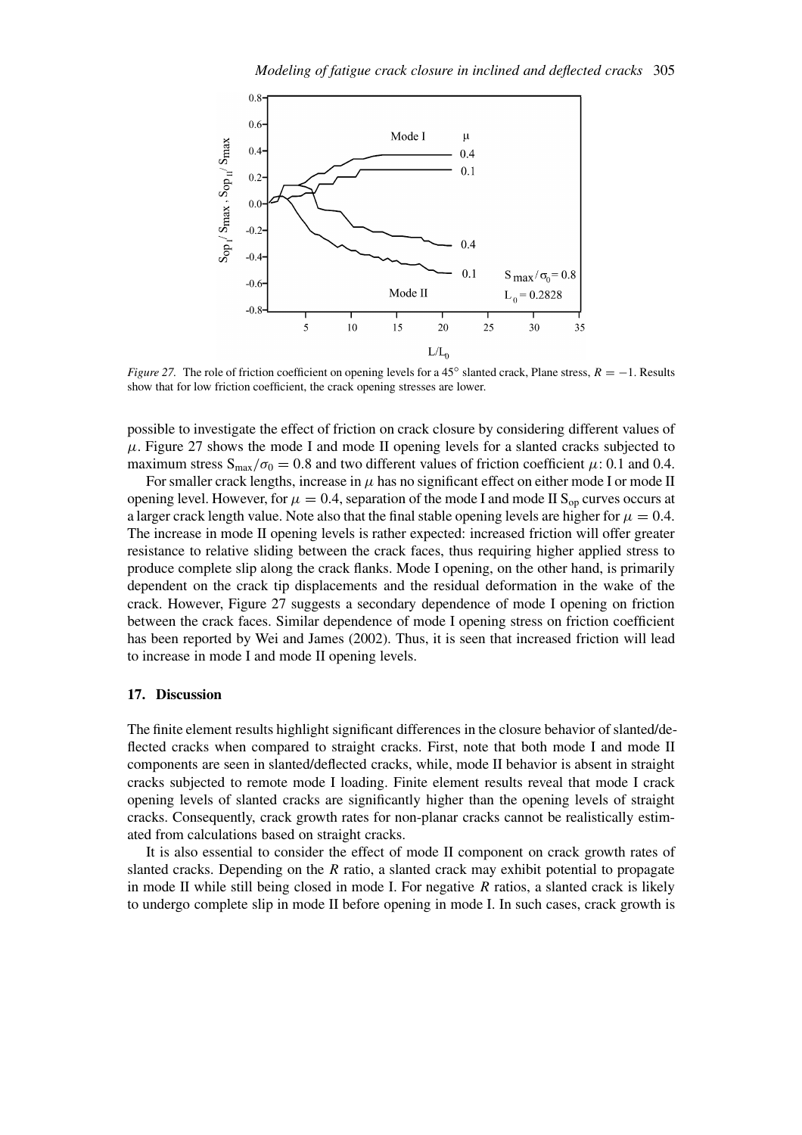![](_page_26_Figure_1.jpeg)

*Figure 27.* The role of friction coefficient on opening levels for a 45<sup>°</sup> slanted crack, Plane stress,  $R = −1$ . Results show that for low friction coefficient, the crack opening stresses are lower.

possible to investigate the effect of friction on crack closure by considering different values of  $\mu$ . Figure 27 shows the mode I and mode II opening levels for a slanted cracks subjected to maximum stress  $S_{\text{max}}/\sigma_0 = 0.8$  and two different values of friction coefficient  $\mu$ : 0.1 and 0.4.

For smaller crack lengths, increase in  $\mu$  has no significant effect on either mode I or mode II opening level. However, for  $\mu = 0.4$ , separation of the mode I and mode II S<sub>op</sub> curves occurs at a larger crack length value. Note also that the final stable opening levels are higher for  $\mu = 0.4$ . The increase in mode II opening levels is rather expected: increased friction will offer greater resistance to relative sliding between the crack faces, thus requiring higher applied stress to produce complete slip along the crack flanks. Mode I opening, on the other hand, is primarily dependent on the crack tip displacements and the residual deformation in the wake of the crack. However, Figure 27 suggests a secondary dependence of mode I opening on friction between the crack faces. Similar dependence of mode I opening stress on friction coefficient has been reported by Wei and James (2002). Thus, it is seen that increased friction will lead to increase in mode I and mode II opening levels.

#### **17. Discussion**

The finite element results highlight significant differences in the closure behavior of slanted/deflected cracks when compared to straight cracks. First, note that both mode I and mode II components are seen in slanted/deflected cracks, while, mode II behavior is absent in straight cracks subjected to remote mode I loading. Finite element results reveal that mode I crack opening levels of slanted cracks are significantly higher than the opening levels of straight cracks. Consequently, crack growth rates for non-planar cracks cannot be realistically estimated from calculations based on straight cracks.

It is also essential to consider the effect of mode II component on crack growth rates of slanted cracks. Depending on the *R* ratio, a slanted crack may exhibit potential to propagate in mode II while still being closed in mode I. For negative *R* ratios, a slanted crack is likely to undergo complete slip in mode II before opening in mode I. In such cases, crack growth is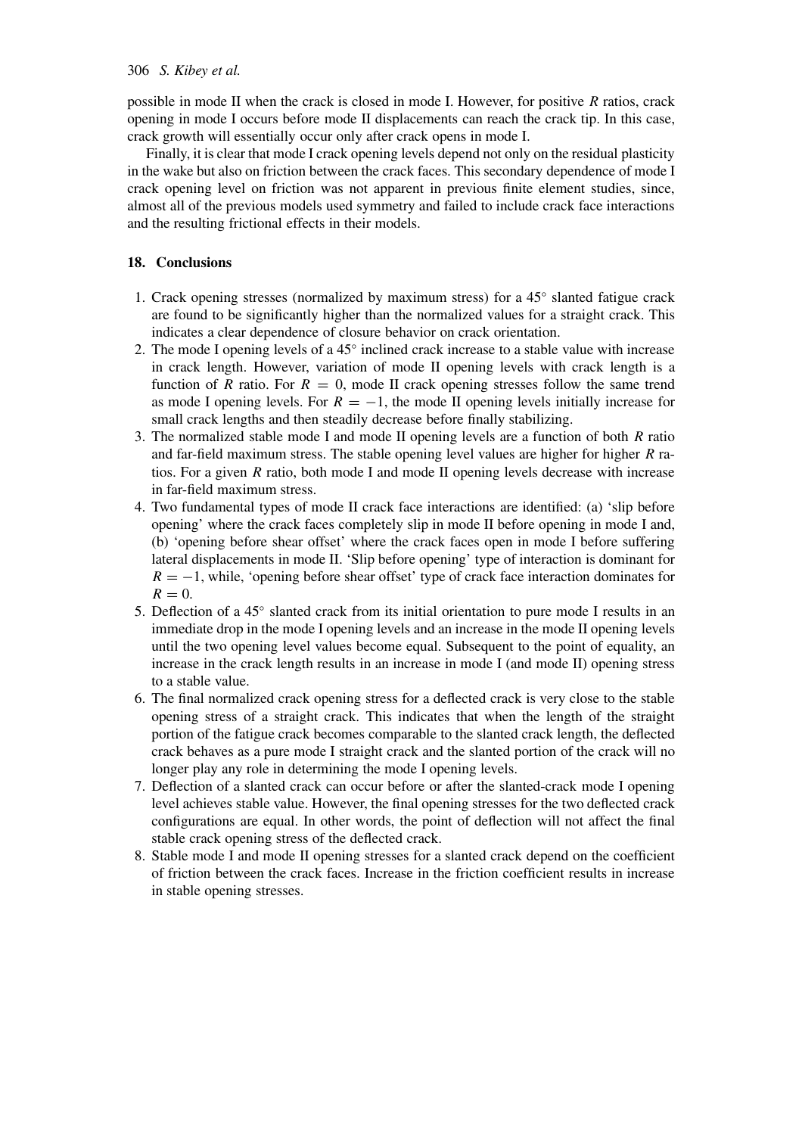### 306 *S. Kibey et al.*

possible in mode II when the crack is closed in mode I. However, for positive *R* ratios, crack opening in mode I occurs before mode II displacements can reach the crack tip. In this case, crack growth will essentially occur only after crack opens in mode I.

Finally, it is clear that mode I crack opening levels depend not only on the residual plasticity in the wake but also on friction between the crack faces. This secondary dependence of mode I crack opening level on friction was not apparent in previous finite element studies, since, almost all of the previous models used symmetry and failed to include crack face interactions and the resulting frictional effects in their models.

## **18. Conclusions**

- 1. Crack opening stresses (normalized by maximum stress) for a 45<sup>°</sup> slanted fatigue crack are found to be significantly higher than the normalized values for a straight crack. This indicates a clear dependence of closure behavior on crack orientation.
- 2. The mode I opening levels of a 45◦ inclined crack increase to a stable value with increase in crack length. However, variation of mode II opening levels with crack length is a function of *R* ratio. For  $R = 0$ , mode II crack opening stresses follow the same trend as mode I opening levels. For  $R = -1$ , the mode II opening levels initially increase for small crack lengths and then steadily decrease before finally stabilizing.
- 3. The normalized stable mode I and mode II opening levels are a function of both *R* ratio and far-field maximum stress. The stable opening level values are higher for higher *R* ratios. For a given *R* ratio, both mode I and mode II opening levels decrease with increase in far-field maximum stress.
- 4. Two fundamental types of mode II crack face interactions are identified: (a) 'slip before opening' where the crack faces completely slip in mode II before opening in mode I and, (b) 'opening before shear offset' where the crack faces open in mode I before suffering lateral displacements in mode II. 'Slip before opening' type of interaction is dominant for  $R = -1$ , while, 'opening before shear offset' type of crack face interaction dominates for  $R=0$ .
- 5. Deflection of a 45<sup>°</sup> slanted crack from its initial orientation to pure mode I results in an immediate drop in the mode I opening levels and an increase in the mode II opening levels until the two opening level values become equal. Subsequent to the point of equality, an increase in the crack length results in an increase in mode I (and mode II) opening stress to a stable value.
- 6. The final normalized crack opening stress for a deflected crack is very close to the stable opening stress of a straight crack. This indicates that when the length of the straight portion of the fatigue crack becomes comparable to the slanted crack length, the deflected crack behaves as a pure mode I straight crack and the slanted portion of the crack will no longer play any role in determining the mode I opening levels.
- 7. Deflection of a slanted crack can occur before or after the slanted-crack mode I opening level achieves stable value. However, the final opening stresses for the two deflected crack configurations are equal. In other words, the point of deflection will not affect the final stable crack opening stress of the deflected crack.
- 8. Stable mode I and mode II opening stresses for a slanted crack depend on the coefficient of friction between the crack faces. Increase in the friction coefficient results in increase in stable opening stresses.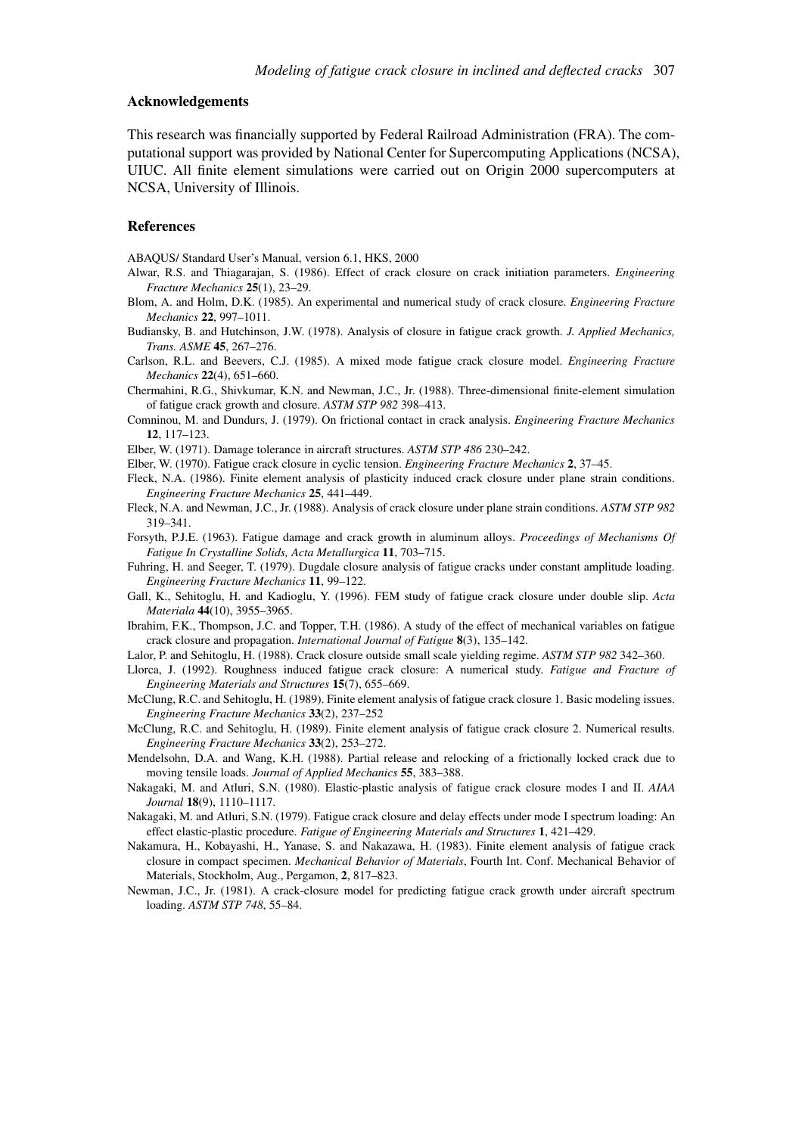#### **Acknowledgements**

This research was financially supported by Federal Railroad Administration (FRA). The computational support was provided by National Center for Supercomputing Applications (NCSA), UIUC. All finite element simulations were carried out on Origin 2000 supercomputers at NCSA, University of Illinois.

#### **References**

ABAQUS/ Standard User's Manual, version 6.1, HKS, 2000

- Alwar, R.S. and Thiagarajan, S. (1986). Effect of crack closure on crack initiation parameters. *Engineering Fracture Mechanics* **25**(1), 23–29.
- Blom, A. and Holm, D.K. (1985). An experimental and numerical study of crack closure. *Engineering Fracture Mechanics* **22**, 997–1011.
- Budiansky, B. and Hutchinson, J.W. (1978). Analysis of closure in fatigue crack growth. *J. Applied Mechanics, Trans. ASME* **45**, 267–276.
- Carlson, R.L. and Beevers, C.J. (1985). A mixed mode fatigue crack closure model. *Engineering Fracture Mechanics* **22**(4), 651–660.
- Chermahini, R.G., Shivkumar, K.N. and Newman, J.C., Jr. (1988). Three-dimensional finite-element simulation of fatigue crack growth and closure. *ASTM STP 982* 398–413.
- Comninou, M. and Dundurs, J. (1979). On frictional contact in crack analysis. *Engineering Fracture Mechanics* **12**, 117–123.
- Elber, W. (1971). Damage tolerance in aircraft structures. *ASTM STP 486* 230–242.
- Elber, W. (1970). Fatigue crack closure in cyclic tension. *Engineering Fracture Mechanics* **2**, 37–45.
- Fleck, N.A. (1986). Finite element analysis of plasticity induced crack closure under plane strain conditions. *Engineering Fracture Mechanics* **25**, 441–449.
- Fleck, N.A. and Newman, J.C., Jr. (1988). Analysis of crack closure under plane strain conditions. *ASTM STP 982* 319–341.
- Forsyth, P.J.E. (1963). Fatigue damage and crack growth in aluminum alloys. *Proceedings of Mechanisms Of Fatigue In Crystalline Solids, Acta Metallurgica* **11**, 703–715.
- Fuhring, H. and Seeger, T. (1979). Dugdale closure analysis of fatigue cracks under constant amplitude loading. *Engineering Fracture Mechanics* **11**, 99–122.
- Gall, K., Sehitoglu, H. and Kadioglu, Y. (1996). FEM study of fatigue crack closure under double slip. *Acta Materiala* **44**(10), 3955–3965.
- Ibrahim, F.K., Thompson, J.C. and Topper, T.H. (1986). A study of the effect of mechanical variables on fatigue crack closure and propagation. *International Journal of Fatigue* **8**(3), 135–142.
- Lalor, P. and Sehitoglu, H. (1988). Crack closure outside small scale yielding regime. *ASTM STP 982* 342–360.
- Llorca, J. (1992). Roughness induced fatigue crack closure: A numerical study. *Fatigue and Fracture of Engineering Materials and Structures* **15**(7), 655–669.
- McClung, R.C. and Sehitoglu, H. (1989). Finite element analysis of fatigue crack closure 1. Basic modeling issues. *Engineering Fracture Mechanics* **33**(2), 237–252
- McClung, R.C. and Sehitoglu, H. (1989). Finite element analysis of fatigue crack closure 2. Numerical results. *Engineering Fracture Mechanics* **33**(2), 253–272.
- Mendelsohn, D.A. and Wang, K.H. (1988). Partial release and relocking of a frictionally locked crack due to moving tensile loads. *Journal of Applied Mechanics* **55**, 383–388.
- Nakagaki, M. and Atluri, S.N. (1980). Elastic-plastic analysis of fatigue crack closure modes I and II. *AIAA Journal* **18**(9), 1110–1117.
- Nakagaki, M. and Atluri, S.N. (1979). Fatigue crack closure and delay effects under mode I spectrum loading: An effect elastic-plastic procedure. *Fatigue of Engineering Materials and Structures* **1**, 421–429.
- Nakamura, H., Kobayashi, H., Yanase, S. and Nakazawa, H. (1983). Finite element analysis of fatigue crack closure in compact specimen. *Mechanical Behavior of Materials*, Fourth Int. Conf. Mechanical Behavior of Materials, Stockholm, Aug., Pergamon, **2**, 817–823.
- Newman, J.C., Jr. (1981). A crack-closure model for predicting fatigue crack growth under aircraft spectrum loading. *ASTM STP 748*, 55–84.